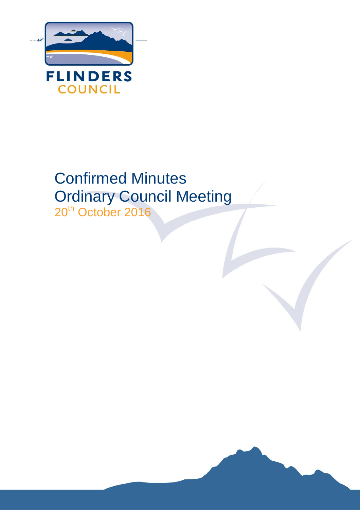

# Confirmed Minutes Ordinary Council Meeting 20<sup>th</sup> October 2016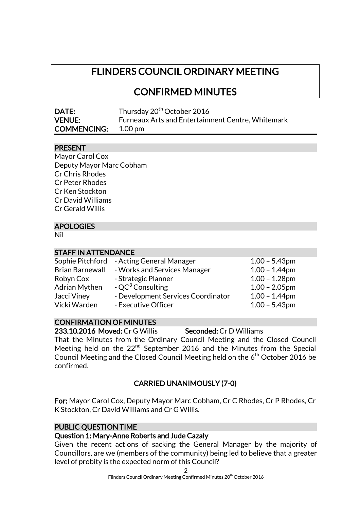# FLINDERS COUNCIL ORDINARY MEETING

CONFIRMED MINUTES

| DATE:                      | Thursday 20 <sup>th</sup> October 2016                   |
|----------------------------|----------------------------------------------------------|
| <b>VENUE:</b>              | <b>Furneaux Arts and Entertainment Centre, Whitemark</b> |
| <b>COMMENCING:</b> 1.00 pm |                                                          |

#### PRESENT

| Mayor Carol Cox          |
|--------------------------|
| Deputy Mayor Marc Cobham |
| <b>Cr Chris Rhodes</b>   |
| <b>Cr Peter Rhodes</b>   |
| Cr Ken Stockton          |
| Cr David Williams        |
| Cr Gerald Willis         |
|                          |

# APOLOGIES

Nil

#### STAFF IN ATTENDANCE

|                        | Sophie Pitchford - Acting General Manager | $1.00 - 5.43$ pm |
|------------------------|-------------------------------------------|------------------|
| <b>Brian Barnewall</b> | - Works and Services Manager              | $1.00 - 1.44$ pm |
| Robyn Cox              | - Strategic Planner                       | $1.00 - 1.28$ pm |
| <b>Adrian Mythen</b>   | - $QC^3$ Consulting                       | $1.00 - 2.05$ pm |
| Jacci Viney            | - Development Services Coordinator        | $1.00 - 1.44$ pm |
| Vicki Warden           | - Executive Officer                       | $1.00 - 5.43$ pm |

# CONFIRMATION OF MINUTES

233.10.2016 Moved: Cr G Willis Seconded: Cr D Williams That the Minutes from the Ordinary Council Meeting and the Closed Council Meeting held on the 22<sup>nd</sup> September 2016 and the Minutes from the Special Council Meeting and the Closed Council Meeting held on the 6<sup>th</sup> October 2016 be confirmed.

# CARRIED UNANIMOUSLY (7-0)

For: Mayor Carol Cox, Deputy Mayor Marc Cobham, Cr C Rhodes, Cr P Rhodes, Cr K Stockton, Cr David Williams and Cr G Willis.

#### PUBLIC QUESTION TIME

# Question 1: Mary-Anne Roberts and Jude Cazaly

Given the recent actions of sacking the General Manager by the majority of Councillors, are we (members of the community) being led to believe that a greater level of probity is the expected norm of this Council?

2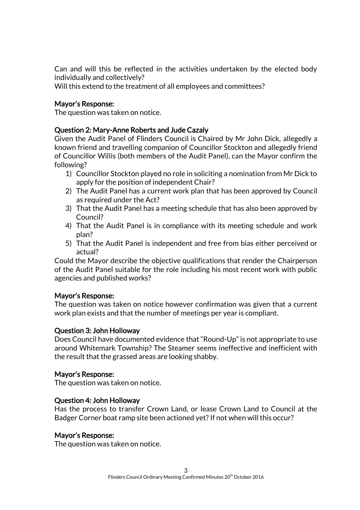Can and will this be reflected in the activities undertaken by the elected body individually and collectively?

Will this extend to the treatment of all employees and committees?

#### Mayor's Response:

The question was taken on notice.

#### Question 2: Mary-Anne Roberts and Jude Cazaly

Given the Audit Panel of Flinders Council is Chaired by Mr John Dick, allegedly a known friend and travelling companion of Councillor Stockton and allegedly friend of Councillor Willis (both members of the Audit Panel), can the Mayor confirm the following?

- 1) Councillor Stockton played no role in soliciting a nomination from Mr Dick to apply for the position of independent Chair?
- 2) The Audit Panel has a current work plan that has been approved by Council as required under the Act?
- 3) That the Audit Panel has a meeting schedule that has also been approved by Council?
- 4) That the Audit Panel is in compliance with its meeting schedule and work plan?
- 5) That the Audit Panel is independent and free from bias either perceived or actual?

Could the Mayor describe the objective qualifications that render the Chairperson of the Audit Panel suitable for the role including his most recent work with public agencies and published works?

#### Mayor's Response:

The question was taken on notice however confirmation was given that a current work plan exists and that the number of meetings per year is compliant.

#### Question 3: John Holloway

Does Council have documented evidence that "Round-Up" is not appropriate to use around Whitemark Township? The Steamer seems ineffective and inefficient with the result that the grassed areas are looking shabby.

#### Mayor's Response:

The question was taken on notice.

#### Question 4: John Holloway

Has the process to transfer Crown Land, or lease Crown Land to Council at the Badger Corner boat ramp site been actioned yet? If not when will this occur?

#### Mayor's Response:

The question was taken on notice.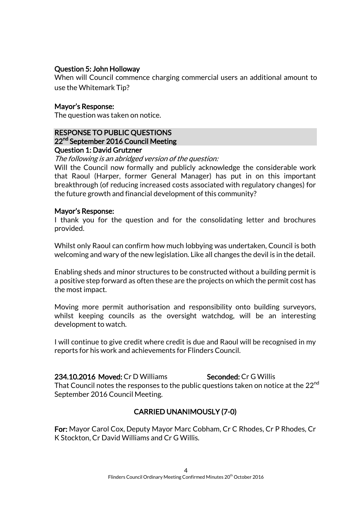#### Question 5: John Holloway

When will Council commence charging commercial users an additional amount to use the Whitemark Tip?

#### Mayor's Response:

The question was taken on notice.

#### RESPONSE TO PUBLIC QUESTIONS 22<sup>nd</sup> September 2016 Council Meeting Question 1: David Grutzner

The following is an abridged version of the question:

Will the Council now formally and publicly acknowledge the considerable work that Raoul (Harper, former General Manager) has put in on this important breakthrough (of reducing increased costs associated with regulatory changes) for the future growth and financial development of this community?

#### Mayor's Response:

I thank you for the question and for the consolidating letter and brochures provided.

Whilst only Raoul can confirm how much lobbying was undertaken, Council is both welcoming and wary of the new legislation. Like all changes the devil is in the detail.

Enabling sheds and minor structures to be constructed without a building permit is a positive step forward as often these are the projects on which the permit cost has the most impact.

Moving more permit authorisation and responsibility onto building surveyors, whilst keeping councils as the oversight watchdog, will be an interesting development to watch.

I will continue to give credit where credit is due and Raoul will be recognised in my reports for his work and achievements for Flinders Council.

234.10.2016 Moved: Cr D Williams Seconded: Cr G Willis That Council notes the responses to the public questions taken on notice at the 22<sup>nd</sup> September 2016 Council Meeting.

#### CARRIED UNANIMOUSLY (7-0)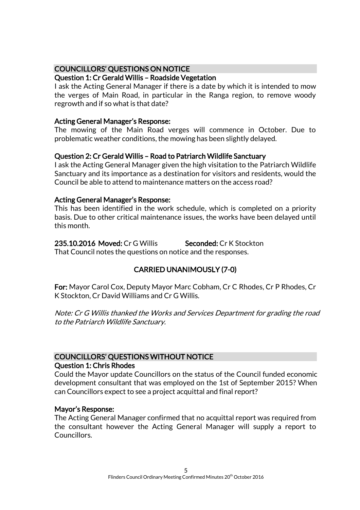## COUNCILLORS' QUESTIONS ON NOTICE

#### Question 1: Cr Gerald Willis – Roadside Vegetation

I ask the Acting General Manager if there is a date by which it is intended to mow the verges of Main Road, in particular in the Ranga region, to remove woody regrowth and if so what is that date?

#### Acting General Manager's Response:

The mowing of the Main Road verges will commence in October. Due to problematic weather conditions, the mowing has been slightly delayed.

#### Question 2: Cr Gerald Willis – Road to Patriarch Wildlife Sanctuary

I ask the Acting General Manager given the high visitation to the Patriarch Wildlife Sanctuary and its importance as a destination for visitors and residents, would the Council be able to attend to maintenance matters on the access road?

#### Acting General Manager's Response:

This has been identified in the work schedule, which is completed on a priority basis. Due to other critical maintenance issues, the works have been delayed until this month.

235.10.2016 Moved: Cr G Willis Seconded: Cr K Stockton That Council notes the questions on notice and the responses.

# CARRIED UNANIMOUSLY (7-0)

For: Mayor Carol Cox, Deputy Mayor Marc Cobham, Cr C Rhodes, Cr P Rhodes, Cr K Stockton, Cr David Williams and Cr G Willis.

Note: Cr G Willis thanked the Works and Services Department for grading the road to the Patriarch Wildlife Sanctuary.

#### COUNCILLORS' QUESTIONS WITHOUT NOTICE Question 1: Chris Rhodes

Could the Mayor update Councillors on the status of the Council funded economic development consultant that was employed on the 1st of September 2015? When can Councillors expect to see a project acquittal and final report?

#### Mayor's Response:

The Acting General Manager confirmed that no acquittal report was required from the consultant however the Acting General Manager will supply a report to Councillors.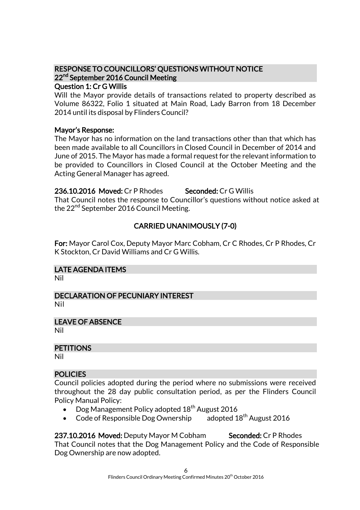# RESPONSE TO COUNCILLORS' QUESTIONS WITHOUT NOTICE 22<sup>nd</sup> September 2016 Council Meeting

# Question 1: Cr G Willis

Will the Mayor provide details of transactions related to property described as Volume 86322, Folio 1 situated at Main Road, Lady Barron from 18 December 2014 until its disposal by Flinders Council?

#### Mayor's Response:

The Mayor has no information on the land transactions other than that which has been made available to all Councillors in Closed Council in December of 2014 and June of 2015. The Mayor has made a formal request for the relevant information to be provided to Councillors in Closed Council at the October Meeting and the Acting General Manager has agreed.

#### 236.10.2016 Moved: Cr P Rhodes Seconded: Cr G Willis

That Council notes the response to Councillor's questions without notice asked at the 22<sup>nd</sup> September 2016 Council Meeting.

# CARRIED UNANIMOUSLY (7-0)

For: Mayor Carol Cox, Deputy Mayor Marc Cobham, Cr C Rhodes, Cr P Rhodes, Cr K Stockton, Cr David Williams and Cr G Willis.

# LATE AGENDA ITEMS

Nil

# DECLARATION OF PECUNIARY INTEREST

Nil

#### LEAVE OF ABSENCE

Nil

#### **PETITIONS**

Nil

#### POLICIES

Council policies adopted during the period where no submissions were received throughout the 28 day public consultation period, as per the Flinders Council Policy Manual Policy:

- $\bullet$  Dog Management Policy adopted 18<sup>th</sup> August 2016
- Code of Responsible Dog Ownership adopted  $18<sup>th</sup>$  August 2016

237.10.2016 Moved: Deputy Mayor M Cobham Seconded: Cr P Rhodes That Council notes that the Dog Management Policy and the Code of Responsible Dog Ownership are now adopted.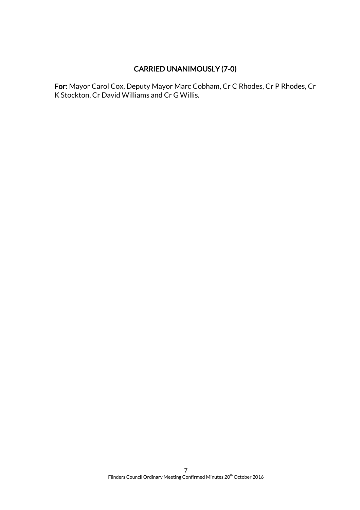# CARRIED UNANIMOUSLY (7-0)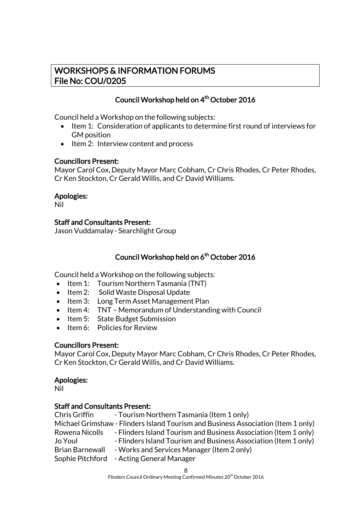# WORKSHOPS & INFORMATION FORUMS File No: COU/0205

# Council Workshop held on 4<sup>th</sup> October 2016

Council held a Workshop on the following subjects:

- Item 1: Consideration of applicants to determine first round of interviews for GM position
- Item 2: Interview content and process

#### Councillors Present:

Mayor Carol Cox, Deputy Mayor Marc Cobham, Cr Chris Rhodes, Cr Peter Rhodes, Cr Ken Stockton, Cr Gerald Willis, and Cr David Williams.

#### Apologies:

Nil

#### Staff and Consultants Present:

Jason Vuddamalay- Searchlight Group

# Council Workshop held on 6<sup>th</sup> October 2016

Council held a Workshop on the following subjects:

- $\bullet$  Item 1: Tourism Northern Tasmania (TNT)
- Item 2: Solid Waste Disposal Update
- Item 3: Long Term Asset Management Plan
- Item 4: TNT Memorandum of Understanding with Council
- Item 5: State Budget Submission
- Item 6: Policies for Review

#### Councillors Present:

Mayor Carol Cox, Deputy Mayor Marc Cobham, Cr Chris Rhodes, Cr Peter Rhodes, Cr Ken Stockton, Cr Gerald Willis, and Cr David Williams.

#### Apologies:

Nil

#### Staff and Consultants Present:

Chris Griffin - Tourism Northern Tasmania (Item 1 only) Michael Grimshaw - Flinders Island Tourism and Business Association (Item 1 only) Rowena Nicolls - Flinders Island Tourism and Business Association (Item 1 only) Jo Youl - Flinders Island Tourism and Business Association (Item 1 only) Brian Barnewall - Works and Services Manager (Item 2 only) Sophie Pitchford - Acting General Manager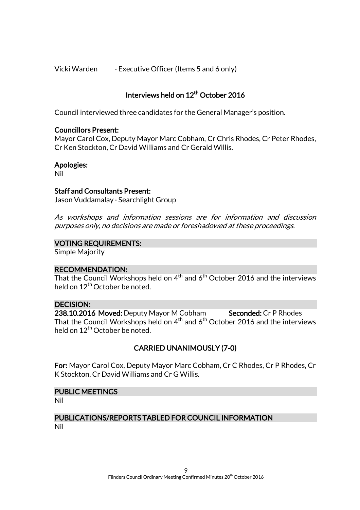Vicki Warden - Executive Officer (Items 5 and 6 only)

# Interviews held on 12<sup>th</sup> October 2016

Council interviewed three candidates for the General Manager's position.

#### Councillors Present:

Mayor Carol Cox, Deputy Mayor Marc Cobham, Cr Chris Rhodes, Cr Peter Rhodes, Cr Ken Stockton, Cr David Williams and Cr Gerald Willis.

#### Apologies:

Nil

#### Staff and Consultants Present:

Jason Vuddamalay- Searchlight Group

As workshops and information sessions are for information and discussion purposes only, no decisions are made or foreshadowed at these proceedings.

#### VOTING REQUIREMENTS:

Simple Majority

#### RECOMMENDATION:

That the Council Workshops held on  $4^{\text{th}}$  and  $6^{\text{th}}$  October 2016 and the interviews held on  $12^{th}$  October be noted.

#### DECISION:

238.10.2016 Moved: Deputy Mayor M Cobham Seconded: Cr P Rhodes That the Council Workshops held on  $4^{\text{th}}$  and  $6^{\text{th}}$  October 2016 and the interviews held on  $12^{th}$  October be noted.

#### CARRIED UNANIMOUSLY (7-0)

For: Mayor Carol Cox, Deputy Mayor Marc Cobham, Cr C Rhodes, Cr P Rhodes, Cr K Stockton, Cr David Williams and Cr G Willis.

#### PUBLIC MEETINGS

Nil

#### PUBLICATIONS/REPORTS TABLED FOR COUNCIL INFORMATION Nil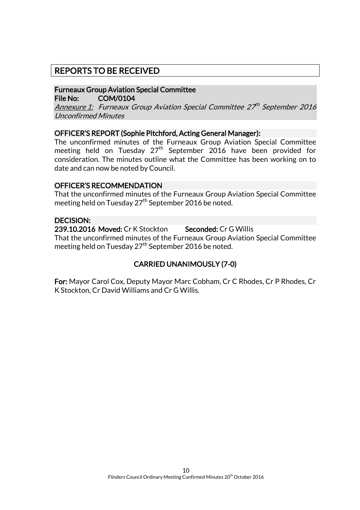# REPORTS TO BE RECEIVED

#### Furneaux Group Aviation Special Committee File No: COM/0104

Annexure 1: Furneaux Group Aviation Special Committee 27th September 2016 Unconfirmed Minutes

#### OFFICER'S REPORT (Sophie Pitchford, Acting General Manager):

The unconfirmed minutes of the Furneaux Group Aviation Special Committee meeting held on Tuesday  $27<sup>th</sup>$  September 2016 have been provided for consideration. The minutes outline what the Committee has been working on to date and can now be noted by Council.

#### OFFICER'S RECOMMENDATION

That the unconfirmed minutes of the Furneaux Group Aviation Special Committee meeting held on Tuesday 27<sup>th</sup> September 2016 be noted.

#### DECISION:

239.10.2016 Moved: Cr K Stockton Seconded: Cr G Willis That the unconfirmed minutes of the Furneaux Group Aviation Special Committee meeting held on Tuesday 27<sup>th</sup> September 2016 be noted.

# CARRIED UNANIMOUSLY (7-0)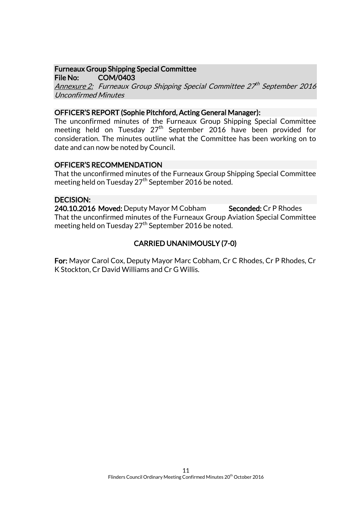#### Furneaux Group Shipping Special Committee File No: COM/0403

Annexure 2: Furneaux Group Shipping Special Committee 27th September 2016 Unconfirmed Minutes

#### OFFICER'S REPORT (Sophie Pitchford, Acting General Manager):

The unconfirmed minutes of the Furneaux Group Shipping Special Committee meeting held on Tuesday 27<sup>th</sup> September 2016 have been provided for consideration. The minutes outline what the Committee has been working on to date and can now be noted by Council.

#### OFFICER'S RECOMMENDATION

That the unconfirmed minutes of the Furneaux Group Shipping Special Committee meeting held on Tuesday 27<sup>th</sup> September 2016 be noted.

#### DECISION:

240.10.2016 Moved: Deputy Mayor M Cobham Seconded: Cr P Rhodes That the unconfirmed minutes of the Furneaux Group Aviation Special Committee meeting held on Tuesday 27<sup>th</sup> September 2016 be noted.

# CARRIED UNANIMOUSLY (7-0)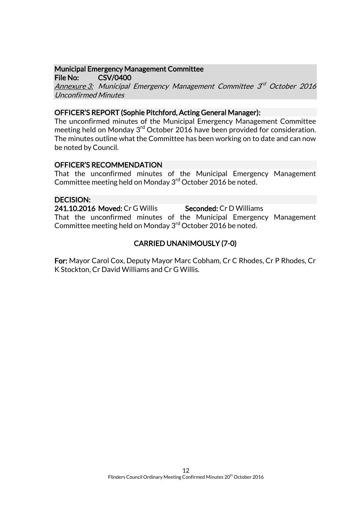# Municipal Emergency Management Committee

File No: CSV/0400

Annexure 3: Municipal Emergency Management Committee 3<sup>rd</sup> October 2016 Unconfirmed Minutes

## OFFICER'S REPORT (Sophie Pitchford, Acting General Manager):

The unconfirmed minutes of the Municipal Emergency Management Committee meeting held on Monday 3rd October 2016 have been provided for consideration. The minutes outline what the Committee has been working on to date and can now be noted by Council.

# OFFICER'S RECOMMENDATION

That the unconfirmed minutes of the Municipal Emergency Management Committee meeting held on Monday 3<sup>rd</sup> October 2016 be noted.

# DECISION:

241.10.2016 Moved: Cr G Willis Seconded: Cr D Williams

That the unconfirmed minutes of the Municipal Emergency Management Committee meeting held on Monday 3<sup>rd</sup> October 2016 be noted.

# CARRIED UNANIMOUSLY (7-0)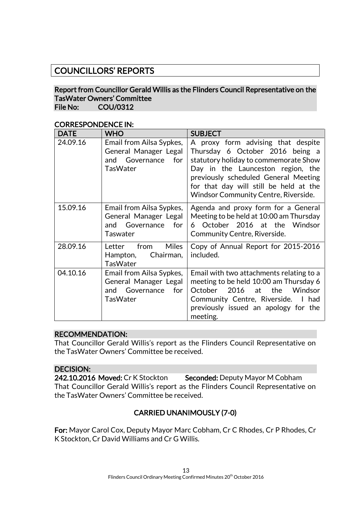# COUNCILLORS' REPORTS

#### Report from Councillor Gerald Willis as the Flinders Council Representative on the TasWater Owners' Committee File No: COU/0312

| <b>DATE</b> | <b>WHO</b>                                                                                       | <b>SUBJECT</b>                                                                                                                                                                                                                                                                       |
|-------------|--------------------------------------------------------------------------------------------------|--------------------------------------------------------------------------------------------------------------------------------------------------------------------------------------------------------------------------------------------------------------------------------------|
| 24.09.16    | Email from Ailsa Sypkes,<br>General Manager Legal<br>Governance<br>for<br>and<br><b>TasWater</b> | A proxy form advising that despite<br>Thursday 6 October 2016 being a<br>statutory holiday to commemorate Show<br>Day in the Launceston region, the<br>previously scheduled General Meeting<br>for that day will still be held at the<br><b>Windsor Community Centre, Riverside.</b> |
| 15.09.16    | Email from Ailsa Sypkes,<br>General Manager Legal<br>Governance for<br>and<br>Taswater           | Agenda and proxy form for a General<br>Meeting to be held at 10:00 am Thursday<br>October 2016 at the Windsor<br>6.<br>Community Centre, Riverside.                                                                                                                                  |
| 28.09.16    | <b>Miles</b><br>from<br>Letter<br>Chairman,<br>Hampton,<br>TasWater                              | Copy of Annual Report for 2015-2016<br>included.                                                                                                                                                                                                                                     |
| 04.10.16    | Email from Ailsa Sypkes,<br>General Manager Legal<br>Governance for<br>and<br><b>TasWater</b>    | Email with two attachments relating to a<br>meeting to be held 10:00 am Thursday 6<br>2016 at the<br>Windsor<br>October<br>Community Centre, Riverside. I had<br>previously issued an apology for the<br>meeting.                                                                    |

#### CORRESPONDENCE IN:

#### RECOMMENDATION:

That Councillor Gerald Willis's report as the Flinders Council Representative on the TasWater Owners' Committee be received.

#### DECISION:

242.10.2016 Moved: Cr K Stockton Seconded: Deputy Mayor M Cobham That Councillor Gerald Willis's report as the Flinders Council Representative on the TasWater Owners' Committee be received.

# CARRIED UNANIMOUSLY (7-0)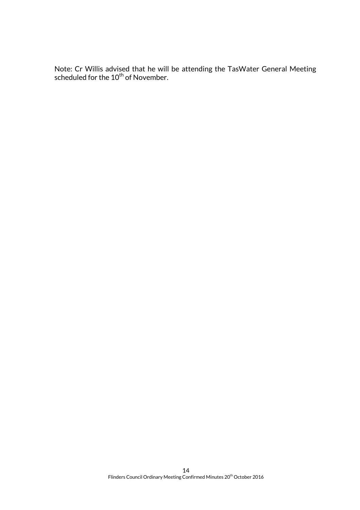Note: Cr Willis advised that he will be attending the TasWater General Meeting scheduled for the 10<sup>th</sup> of November.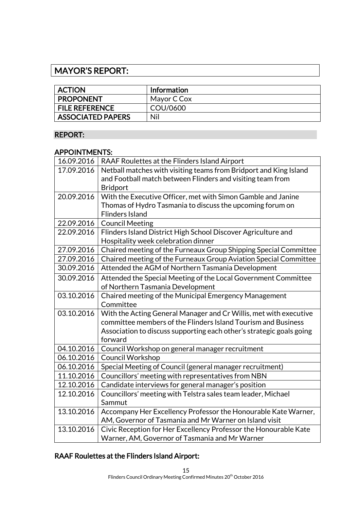# MAYOR'S REPORT:

| <b>ACTION</b>            | <b>Information</b> |
|--------------------------|--------------------|
| <b>PROPONENT</b>         | Mayor C Cox        |
| <b>FILE REFERENCE</b>    | COU/0600           |
| <b>ASSOCIATED PAPERS</b> | Nil                |

# REPORT:

#### APPOINTMENTS:

| 16.09.2016 | RAAF Roulettes at the Flinders Island Airport                        |
|------------|----------------------------------------------------------------------|
| 17.09.2016 | Netball matches with visiting teams from Bridport and King Island    |
|            | and Football match between Flinders and visiting team from           |
|            | <b>Bridport</b>                                                      |
| 20.09.2016 | With the Executive Officer, met with Simon Gamble and Janine         |
|            | Thomas of Hydro Tasmania to discuss the upcoming forum on            |
|            | <b>Flinders Island</b>                                               |
| 22.09.2016 | <b>Council Meeting</b>                                               |
| 22.09.2016 | Flinders Island District High School Discover Agriculture and        |
|            | Hospitality week celebration dinner                                  |
| 27.09.2016 | Chaired meeting of the Furneaux Group Shipping Special Committee     |
| 27.09.2016 | Chaired meeting of the Furneaux Group Aviation Special Committee     |
| 30.09.2016 | Attended the AGM of Northern Tasmania Development                    |
| 30.09.2016 | Attended the Special Meeting of the Local Government Committee       |
|            | of Northern Tasmania Development                                     |
| 03.10.2016 | Chaired meeting of the Municipal Emergency Management                |
|            | Committee                                                            |
| 03.10.2016 | With the Acting General Manager and Cr Willis, met with executive    |
|            | committee members of the Flinders Island Tourism and Business        |
|            | Association to discuss supporting each other's strategic goals going |
|            | forward                                                              |
| 04.10.2016 | Council Workshop on general manager recruitment                      |
| 06.10.2016 | <b>Council Workshop</b>                                              |
| 06.10.2016 | Special Meeting of Council (general manager recruitment)             |
| 11.10.2016 | Councillors' meeting with representatives from NBN                   |
| 12.10.2016 | Candidate interviews for general manager's position                  |
| 12.10.2016 | Councillors' meeting with Telstra sales team leader, Michael         |
|            | Sammut                                                               |
| 13.10.2016 | Accompany Her Excellency Professor the Honourable Kate Warner,       |
|            | AM, Governor of Tasmania and Mr Warner on Island visit               |
| 13.10.2016 | Civic Reception for Her Excellency Professor the Honourable Kate     |
|            | Warner, AM, Governor of Tasmania and Mr Warner                       |

# RAAF Roulettes at the Flinders Island Airport: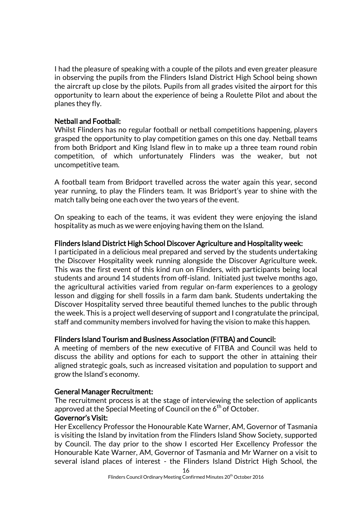I had the pleasure of speaking with a couple of the pilots and even greater pleasure in observing the pupils from the Flinders Island District High School being shown the aircraft up close by the pilots. Pupils from all grades visited the airport for this opportunity to learn about the experience of being a Roulette Pilot and about the planes they fly.

#### Netball and Football:

Whilst Flinders has no regular football or netball competitions happening, players grasped the opportunity to play competition games on this one day. Netball teams from both Bridport and King Island flew in to make up a three team round robin competition, of which unfortunately Flinders was the weaker, but not uncompetitive team.

A football team from Bridport travelled across the water again this year, second year running, to play the Flinders team. It was Bridport's year to shine with the match tally being one each over the two years of the event.

On speaking to each of the teams, it was evident they were enjoying the island hospitality as much as we were enjoying having them on the Island.

#### Flinders Island District High School Discover Agriculture and Hospitality week:

I participated in a delicious meal prepared and served by the students undertaking the Discover Hospitality week running alongside the Discover Agriculture week. This was the first event of this kind run on Flinders, with participants being local students and around 14 students from off-island. Initiated just twelve months ago, the agricultural activities varied from regular on-farm experiences to a geology lesson and digging for shell fossils in a farm dam bank. Students undertaking the Discover Hospitality served three beautiful themed lunches to the public through the week. This is a project well deserving of support and I congratulate the principal, staff and community members involved for having the vision to make this happen.

#### Flinders Island Tourism and Business Association (FITBA) and Council:

A meeting of members of the new executive of FITBA and Council was held to discuss the ability and options for each to support the other in attaining their aligned strategic goals, such as increased visitation and population to support and grow the Island's economy.

#### General Manager Recruitment:

The recruitment process is at the stage of interviewing the selection of applicants approved at the Special Meeting of Council on the  $6<sup>th</sup>$  of October.

#### Governor's Visit:

Her Excellency Professor the Honourable Kate Warner, AM, Governor of Tasmania is visiting the Island by invitation from the Flinders Island Show Society, supported by Council. The day prior to the show I escorted Her Excellency Professor the Honourable Kate Warner, AM, Governor of Tasmania and Mr Warner on a visit to several island places of interest - the Flinders Island District High School, the

16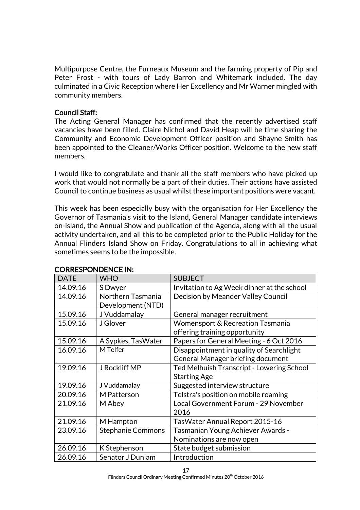Multipurpose Centre, the Furneaux Museum and the farming property of Pip and Peter Frost - with tours of Lady Barron and Whitemark included. The day culminated in a Civic Reception where Her Excellency and Mr Warner mingled with community members.

#### Council Staff:

The Acting General Manager has confirmed that the recently advertised staff vacancies have been filled. Claire Nichol and David Heap will be time sharing the Community and Economic Development Officer position and Shayne Smith has been appointed to the Cleaner/Works Officer position. Welcome to the new staff members.

I would like to congratulate and thank all the staff members who have picked up work that would not normally be a part of their duties. Their actions have assisted Council to continue business as usual whilst these important positions were vacant.

This week has been especially busy with the organisation for Her Excellency the Governor of Tasmania's visit to the Island, General Manager candidate interviews on-island, the Annual Show and publication of the Agenda, along with all the usual activity undertaken, and all this to be completed prior to the Public Holiday for the Annual Flinders Island Show on Friday. Congratulations to all in achieving what sometimes seems to be the impossible.

| <b>DATE</b> | <b>WHO</b>               | <b>SUBJECT</b>                             |
|-------------|--------------------------|--------------------------------------------|
| 14.09.16    | S Dwyer                  | Invitation to Ag Week dinner at the school |
| 14.09.16    | Northern Tasmania        | Decision by Meander Valley Council         |
|             | Development (NTD)        |                                            |
| 15.09.16    | J Vuddamalay             | General manager recruitment                |
| 15.09.16    | J Glover                 | Womensport & Recreation Tasmania           |
|             |                          | offering training opportunity              |
| 15.09.16    | A Sypkes, TasWater       | Papers for General Meeting - 6 Oct 2016    |
| 16.09.16    | M Telfer                 | Disappointment in quality of Searchlight   |
|             |                          | General Manager briefing document          |
| 19.09.16    | J Rockliff MP            | Ted Melhuish Transcript - Lowering School  |
|             |                          | <b>Starting Age</b>                        |
| 19.09.16    | J Vuddamalay             | Suggested interview structure              |
| 20.09.16    | M Patterson              | Telstra's position on mobile roaming       |
| 21.09.16    | M Abey                   | Local Government Forum - 29 November       |
|             |                          | 2016                                       |
| 21.09.16    | M Hampton                | TasWater Annual Report 2015-16             |
| 23.09.16    | <b>Stephanie Commons</b> | Tasmanian Young Achiever Awards -          |
|             |                          | Nominations are now open                   |
| 26.09.16    | K Stephenson             | State budget submission                    |
| 26.09.16    | Senator J Duniam         | Introduction                               |

#### CORRESPONDENCE IN: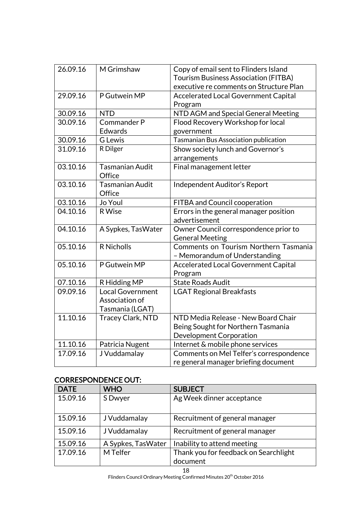| 26.09.16 | M Grimshaw                | Copy of email sent to Flinders Island<br><b>Tourism Business Association (FITBA)</b> |
|----------|---------------------------|--------------------------------------------------------------------------------------|
|          |                           | executive re comments on Structure Plan                                              |
| 29.09.16 | P Gutwein MP              | <b>Accelerated Local Government Capital</b>                                          |
|          |                           | Program                                                                              |
| 30.09.16 | <b>NTD</b>                | NTD AGM and Special General Meeting                                                  |
| 30.09.16 | Commander P               | Flood Recovery Workshop for local                                                    |
|          | <b>Edwards</b>            | government                                                                           |
| 30.09.16 | <b>G</b> Lewis            | <b>Tasmanian Bus Association publication</b>                                         |
| 31.09.16 | R Dilger                  | Show society lunch and Governor's                                                    |
|          |                           | arrangements                                                                         |
| 03.10.16 | Tasmanian Audit<br>Office | Final management letter                                                              |
| 03.10.16 | Tasmanian Audit<br>Office | Independent Auditor's Report                                                         |
| 03.10.16 | Jo Youl                   | FITBA and Council cooperation                                                        |
| 04.10.16 | <b>R</b> Wise             | Errors in the general manager position                                               |
|          |                           | advertisement                                                                        |
| 04.10.16 | A Sypkes, TasWater        | Owner Council correspondence prior to                                                |
|          |                           | <b>General Meeting</b>                                                               |
| 05.10.16 | <b>R</b> Nicholls         | Comments on Tourism Northern Tasmania<br>- Memorandum of Understanding               |
| 05.10.16 | P Gutwein MP              | <b>Accelerated Local Government Capital</b>                                          |
|          |                           | Program                                                                              |
| 07.10.16 | R Hidding MP              | <b>State Roads Audit</b>                                                             |
| 09.09.16 | <b>Local Government</b>   | <b>LGAT Regional Breakfasts</b>                                                      |
|          | Association of            |                                                                                      |
|          | Tasmania (LGAT)           |                                                                                      |
| 11.10.16 | <b>Tracey Clark, NTD</b>  | NTD Media Release - New Board Chair                                                  |
|          |                           | Being Sought for Northern Tasmania                                                   |
|          |                           | Development Corporation                                                              |
| 11.10.16 | Patricia Nugent           | Internet & mobile phone services                                                     |
| 17.09.16 | J Vuddamalay              | Comments on Mel Telfer's correspondence                                              |
|          |                           | re general manager briefing document                                                 |

# CORRESPONDENCE OUT:

| <b>DATE</b> | <b>WHO</b>         | <b>SUBJECT</b>                        |
|-------------|--------------------|---------------------------------------|
| 15.09.16    | S Dwyer            | Ag Week dinner acceptance             |
| 15.09.16    | J Vuddamalay       | Recruitment of general manager        |
| 15.09.16    | J Vuddamalay       | Recruitment of general manager        |
| 15.09.16    | A Sypkes, TasWater | Inability to attend meeting           |
| 17.09.16    | M Telfer           | Thank you for feedback on Searchlight |
|             |                    | document                              |

18

Flinders Council Ordinary Meeting Confirmed Minutes 20<sup>th</sup> October 2016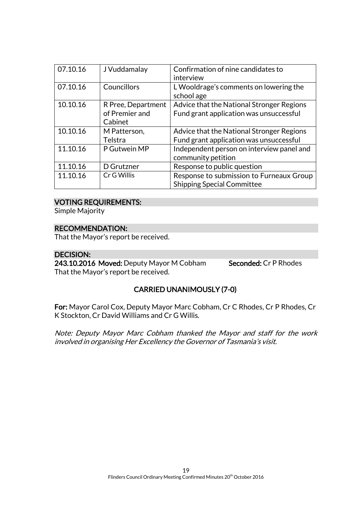| 07.10.16 | J Vuddamalay                                    | Confirmation of nine candidates to<br>interview                                      |
|----------|-------------------------------------------------|--------------------------------------------------------------------------------------|
| 07.10.16 | Councillors                                     | L Wooldrage's comments on lowering the<br>school age                                 |
| 10.10.16 | R Pree, Department<br>of Premier and<br>Cabinet | Advice that the National Stronger Regions<br>Fund grant application was unsuccessful |
| 10.10.16 | M Patterson,<br>Telstra                         | Advice that the National Stronger Regions<br>Fund grant application was unsuccessful |
| 11.10.16 | P Gutwein MP                                    | Independent person on interview panel and<br>community petition                      |
| 11.10.16 | D Grutzner                                      | Response to public question                                                          |
| 11.10.16 | Cr G Willis                                     | Response to submission to Furneaux Group<br><b>Shipping Special Committee</b>        |

#### VOTING REQUIREMENTS:

Simple Majority

# RECOMMENDATION:

That the Mayor's report be received.

#### DECISION:

243.10.2016 Moved: Deputy Mayor M Cobham Seconded: Cr P Rhodes That the Mayor's report be received.

# CARRIED UNANIMOUSLY (7-0)

For: Mayor Carol Cox, Deputy Mayor Marc Cobham, Cr C Rhodes, Cr P Rhodes, Cr K Stockton, Cr David Williams and Cr G Willis.

Note: Deputy Mayor Marc Cobham thanked the Mayor and staff for the work involved in organising Her Excellency the Governor of Tasmania's visit.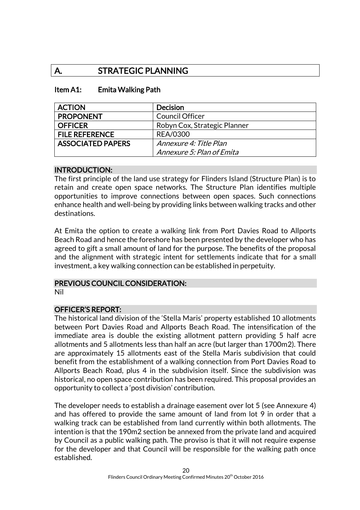# A. STRATEGIC PLANNING

#### Item A1: Emita Walking Path

| <b>ACTION</b>            | <b>Decision</b>              |
|--------------------------|------------------------------|
| <b>PROPONENT</b>         | <b>Council Officer</b>       |
| <b>OFFICER</b>           | Robyn Cox, Strategic Planner |
| <b>FILE REFERENCE</b>    | <b>REA/0300</b>              |
| <b>ASSOCIATED PAPERS</b> | Annexure 4: Title Plan       |
|                          | Annexure 5: Plan of Emita    |

#### INTRODUCTION:

The first principle of the land use strategy for Flinders Island (Structure Plan) is to retain and create open space networks. The Structure Plan identifies multiple opportunities to improve connections between open spaces. Such connections enhance health and well-being by providing links between walking tracks and other destinations.

At Emita the option to create a walking link from Port Davies Road to Allports Beach Road and hence the foreshore has been presented by the developer who has agreed to gift a small amount of land for the purpose. The benefits of the proposal and the alignment with strategic intent for settlements indicate that for a small investment, a key walking connection can be established in perpetuity.

#### PREVIOUS COUNCIL CONSIDERATION:

Nil

#### OFFICER'S REPORT:

The historical land division of the 'Stella Maris' property established 10 allotments between Port Davies Road and Allports Beach Road. The intensification of the immediate area is double the existing allotment pattern providing 5 half acre allotments and 5 allotments less than half an acre (but larger than 1700m2). There are approximately 15 allotments east of the Stella Maris subdivision that could benefit from the establishment of a walking connection from Port Davies Road to Allports Beach Road, plus 4 in the subdivision itself. Since the subdivision was historical, no open space contribution has been required. This proposal provides an opportunity to collect a 'post division' contribution.

The developer needs to establish a drainage easement over lot 5 (see Annexure 4) and has offered to provide the same amount of land from lot 9 in order that a walking track can be established from land currently within both allotments. The intention is that the 190m2 section be annexed from the private land and acquired by Council as a public walking path. The proviso is that it will not require expense for the developer and that Council will be responsible for the walking path once established.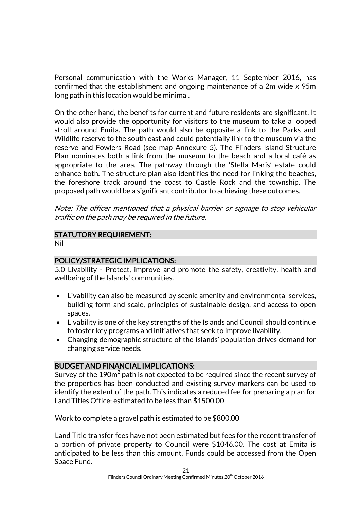Personal communication with the Works Manager, 11 September 2016, has confirmed that the establishment and ongoing maintenance of a 2m wide x 95m long path in this location would be minimal.

On the other hand, the benefits for current and future residents are significant. It would also provide the opportunity for visitors to the museum to take a looped stroll around Emita. The path would also be opposite a link to the Parks and Wildlife reserve to the south east and could potentially link to the museum via the reserve and Fowlers Road (see map Annexure 5). The Flinders Island Structure Plan nominates both a link from the museum to the beach and a local café as appropriate to the area. The pathway through the 'Stella Maris' estate could enhance both. The structure plan also identifies the need for linking the beaches, the foreshore track around the coast to Castle Rock and the township. The proposed path would be a significant contributor to achieving these outcomes.

Note: The officer mentioned that a physical barrier or signage to stop vehicular traffic on the path may be required in the future.

#### STATUTORY REQUIREMENT: Nil

#### POLICY/STRATEGIC IMPLICATIONS:

5.0 Livability - Protect, improve and promote the safety, creativity, health and wellbeing of the Islands' communities.

- Livability can also be measured by scenic amenity and environmental services, building form and scale, principles of sustainable design, and access to open spaces.
- Livability is one of the key strengths of the Islands and Council should continue to foster key programs and initiatives that seek to improve livability.
- Changing demographic structure of the Islands' population drives demand for changing service needs.

# BUDGET AND FINANCIAL IMPLICATIONS:

Survey of the 190 $\mathrm{m}^{2}$  path is not expected to be required since the recent survey of the properties has been conducted and existing survey markers can be used to identify the extent of the path. This indicates a reduced fee for preparing a plan for Land Titles Office; estimated to be less than \$1500.00

Work to complete a gravel path is estimated to be \$800.00

Land Title transfer fees have not been estimated but fees for the recent transfer of a portion of private property to Council were \$1046.00. The cost at Emita is anticipated to be less than this amount. Funds could be accessed from the Open Space Fund.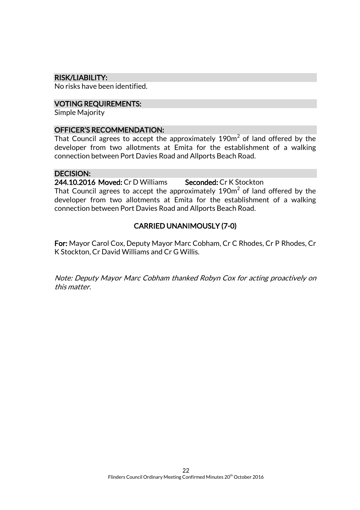#### RISK/LIABILITY:

No risks have been identified.

#### VOTING REQUIREMENTS:

Simple Majority

#### OFFICER'S RECOMMENDATION:

That Council agrees to accept the approximately 190 $\mathrm{m}^2$  of land offered by the developer from two allotments at Emita for the establishment of a walking connection between Port Davies Road and Allports Beach Road.

#### DECISION:

244.10.2016 Moved: Cr D Williams Seconded: Cr K Stockton

That Council agrees to accept the approximately 190m $^2$  of land offered by the developer from two allotments at Emita for the establishment of a walking connection between Port Davies Road and Allports Beach Road.

#### CARRIED UNANIMOUSLY (7-0)

For: Mayor Carol Cox, Deputy Mayor Marc Cobham, Cr C Rhodes, Cr P Rhodes, Cr K Stockton, Cr David Williams and Cr G Willis.

Note: Deputy Mayor Marc Cobham thanked Robyn Cox for acting proactively on this matter.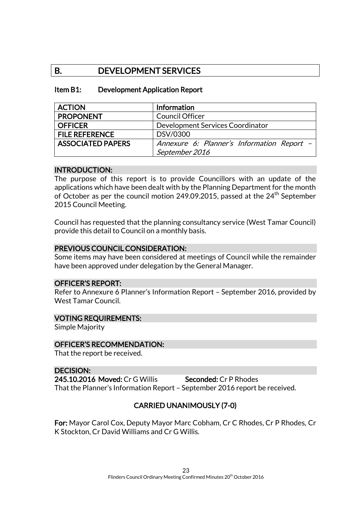# B. DEVELOPMENT SERVICES

#### Item B1: Development Application Report

| <b>ACTION</b>            | Information                                |
|--------------------------|--------------------------------------------|
| <b>PROPONENT</b>         | <b>Council Officer</b>                     |
| <b>OFFICER</b>           | Development Services Coordinator           |
| <b>FILE REFERENCE</b>    | DSV/0300                                   |
| <b>ASSOCIATED PAPERS</b> | Annexure 6: Planner's Information Report - |
|                          | September 2016                             |

#### INTRODUCTION:

The purpose of this report is to provide Councillors with an update of the applications which have been dealt with by the Planning Department for the month of October as per the council motion 249.09.2015, passed at the  $24<sup>th</sup>$  September 2015 Council Meeting.

Council has requested that the planning consultancy service (West Tamar Council) provide this detail to Council on a monthly basis.

#### PREVIOUS COUNCIL CONSIDERATION:

Some items may have been considered at meetings of Council while the remainder have been approved under delegation by the General Manager.

#### OFFICER'S REPORT:

Refer to Annexure 6 Planner's Information Report – September 2016, provided by West Tamar Council.

#### VOTING REQUIREMENTS:

Simple Majority

#### OFFICER'S RECOMMENDATION:

That the report be received.

#### DECISION:

245.10.2016 Moved: Cr G Willis Seconded: Cr P Rhodes That the Planner's Information Report – September 2016 report be received.

#### CARRIED UNANIMOUSLY (7-0)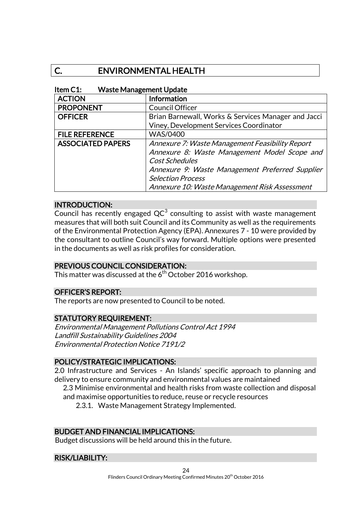# C. ENVIRONMENTAL HEALTH

#### Item C1: Waste Management Update

| <b>ACTION</b>            | <b>Information</b>                                  |
|--------------------------|-----------------------------------------------------|
| <b>PROPONENT</b>         | <b>Council Officer</b>                              |
| <b>OFFICER</b>           | Brian Barnewall, Works & Services Manager and Jacci |
|                          | Viney, Development Services Coordinator             |
| <b>FILE REFERENCE</b>    | <b>WAS/0400</b>                                     |
| <b>ASSOCIATED PAPERS</b> | Annexure 7: Waste Management Feasibility Report     |
|                          | Annexure 8: Waste Management Model Scope and        |
|                          | Cost Schedules                                      |
|                          | Annexure 9: Waste Management Preferred Supplier     |
|                          | <b>Selection Process</b>                            |
|                          | Annexure 10: Waste Management Risk Assessment       |

#### INTRODUCTION:

Council has recently engaged  $QC^3$  consulting to assist with waste management measures that will both suit Council and its Community as well as the requirements of the Environmental Protection Agency (EPA). Annexures 7 - 10 were provided by the consultant to outline Council's way forward. Multiple options were presented in the documents as well as risk profiles for consideration.

#### PREVIOUS COUNCIL CONSIDERATION:

This matter was discussed at the  $6<sup>th</sup>$  October 2016 workshop.

#### OFFICER'S REPORT:

The reports are now presented to Council to be noted.

#### STATUTORY REQUIREMENT:

Environmental Management Pollutions Control Act 1994 Landfill Sustainability Guidelines 2004 Environmental Protection Notice 7191/2

#### POLICY/STRATEGIC IMPLICATIONS:

2.0 Infrastructure and Services - An Islands' specific approach to planning and delivery to ensure community and environmental values are maintained

2.3 Minimise environmental and health risks from waste collection and disposal and maximise opportunities to reduce, reuse or recycle resources

2.3.1. Waste Management Strategy Implemented.

#### BUDGET AND FINANCIAL IMPLICATIONS:

Budget discussions will be held around this in the future.

#### RISK/LIABILITY: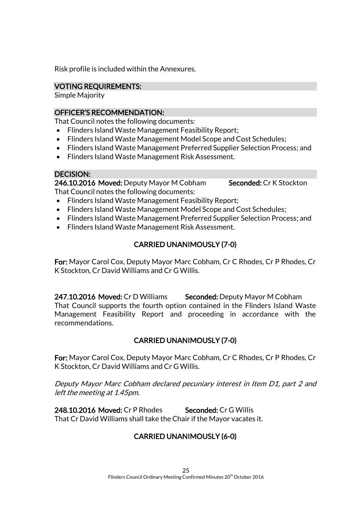Risk profile is included within the Annexures.

## VOTING REQUIREMENTS:

Simple Majority

## OFFICER'S RECOMMENDATION:

That Council notes the following documents:

- Flinders Island Waste Management Feasibility Report;
- Flinders Island Waste Management Model Scope and Cost Schedules;
- Flinders Island Waste Management Preferred Supplier Selection Process; and
- Flinders Island Waste Management Risk Assessment.

# DECISION:

246.10.2016 Moved: Deputy Mayor M Cobham Seconded: Cr K Stockton That Council notes the following documents:

- Flinders Island Waste Management Feasibility Report;
- Flinders Island Waste Management Model Scope and Cost Schedules;
- Flinders Island Waste Management Preferred Supplier Selection Process; and
- Flinders Island Waste Management Risk Assessment.

# CARRIED UNANIMOUSLY (7-0)

For: Mayor Carol Cox, Deputy Mayor Marc Cobham, Cr C Rhodes, Cr P Rhodes, Cr K Stockton, Cr David Williams and Cr G Willis.

247.10.2016 Moved: Cr D Williams Seconded: Deputy Mayor M Cobham That Council supports the fourth option contained in the Flinders Island Waste Management Feasibility Report and proceeding in accordance with the recommendations.

# CARRIED UNANIMOUSLY (7-0)

For: Mayor Carol Cox, Deputy Mayor Marc Cobham, Cr C Rhodes, Cr P Rhodes, Cr K Stockton, Cr David Williams and Cr G Willis.

Deputy Mayor Marc Cobham declared pecuniary interest in Item D1, part 2 and left the meeting at 1.45pm.

248.10.2016 Moved: Cr P Rhodes Seconded: Cr G Willis That Cr David Williams shall take the Chair if the Mayor vacates it.

# CARRIED UNANIMOUSLY (6-0)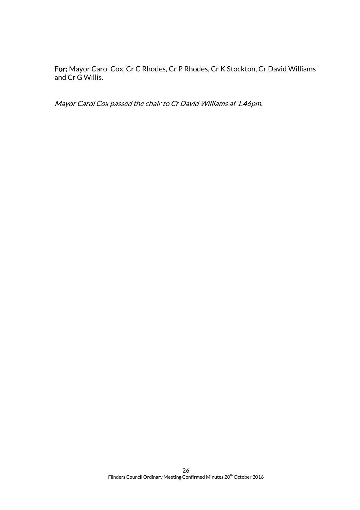For: Mayor Carol Cox, Cr C Rhodes, Cr P Rhodes, Cr K Stockton, Cr David Williams and Cr G Willis.

Mayor Carol Cox passed the chair to Cr David Williams at 1.46pm.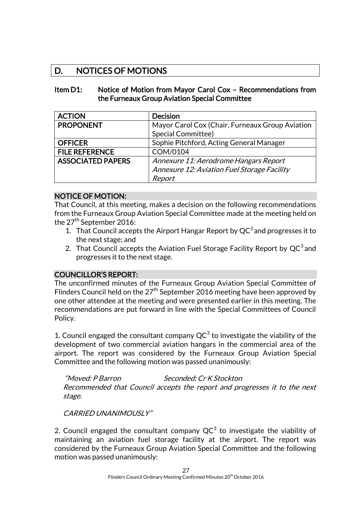# D. NOTICES OF MOTIONS

#### Item D1: Notice of Motion from Mayor Carol Cox – Recommendations from the Furneaux Group Aviation Special Committee

| <b>ACTION</b>            | <b>Decision</b>                                 |
|--------------------------|-------------------------------------------------|
| <b>PROPONENT</b>         | Mayor Carol Cox (Chair, Furneaux Group Aviation |
|                          | <b>Special Committee)</b>                       |
| <b>OFFICER</b>           | Sophie Pitchford, Acting General Manager        |
| <b>FILE REFERENCE</b>    | COM/0104                                        |
| <b>ASSOCIATED PAPERS</b> | Annexure 11: Aerodrome Hangars Report           |
|                          | Annexure 12: Aviation Fuel Storage Facility     |
|                          | Report                                          |

#### NOTICE OF MOTION:

That Council, at this meeting, makes a decision on the following recommendations from the Furneaux Group Aviation Special Committee made at the meeting held on the  $27<sup>th</sup>$  September 2016:

- 1. That Council accepts the Airport Hangar Report by  $QC^3$  and progresses it to the next stage; and
- 2. That Council accepts the Aviation Fuel Storage Facility Report by  $QC^3$  and progresses it to the next stage.

#### COUNCILLOR'S REPORT:

The unconfirmed minutes of the Furneaux Group Aviation Special Committee of Flinders Council held on the 27<sup>th</sup> September 2016 meeting have been approved by one other attendee at the meeting and were presented earlier in this meeting. The recommendations are put forward in line with the Special Committees of Council Policy.

1. Council engaged the consultant company  $QC^3$  to investigate the viability of the development of two commercial aviation hangars in the commercial area of the airport. The report was considered by the Furneaux Group Aviation Special Committee and the following motion was passed unanimously:

"Moved: P Barron Seconded: Cr K Stockton Recommended that Council accepts the report and progresses it to the next stage.

CARRIED UNANIMOUSLY"

2. Council engaged the consultant company QC $^3$  to investigate the viability of maintaining an aviation fuel storage facility at the airport. The report was considered by the Furneaux Group Aviation Special Committee and the following motion was passed unanimously: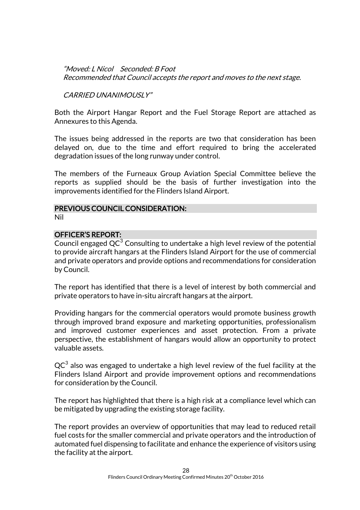"Moved: L Nicol Seconded: B Foot Recommended that Council accepts the report and moves to the next stage.

CARRIED UNANIMOUSLY"

Both the Airport Hangar Report and the Fuel Storage Report are attached as Annexures to this Agenda.

The issues being addressed in the reports are two that consideration has been delayed on, due to the time and effort required to bring the accelerated degradation issues of the long runway under control.

The members of the Furneaux Group Aviation Special Committee believe the reports as supplied should be the basis of further investigation into the improvements identified for the Flinders Island Airport.

#### PREVIOUS COUNCIL CONSIDERATION:

Nil

#### OFFICER'S REPORT:

Council engaged  $QC^3$  Consulting to undertake a high level review of the potential to provide aircraft hangars at the Flinders Island Airport for the use of commercial and private operators and provide options and recommendations for consideration by Council.

The report has identified that there is a level of interest by both commercial and private operators to have in-situ aircraft hangars at the airport.

Providing hangars for the commercial operators would promote business growth through improved brand exposure and marketing opportunities, professionalism and improved customer experiences and asset protection. From a private perspective, the establishment of hangars would allow an opportunity to protect valuable assets.

 ${\sf QC}^3$  also was engaged to undertake a high level review of the fuel facility at the Flinders Island Airport and provide improvement options and recommendations for consideration by the Council.

The report has highlighted that there is a high risk at a compliance level which can be mitigated by upgrading the existing storage facility.

The report provides an overview of opportunities that may lead to reduced retail fuel costs for the smaller commercial and private operators and the introduction of automated fuel dispensing to facilitate and enhance the experience of visitors using the facility at the airport.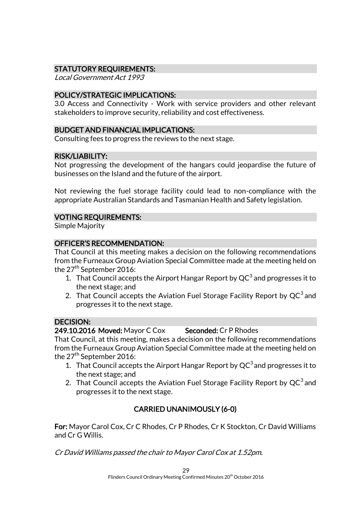# STATUTORY REQUIREMENTS:

Local Government Act 1993

#### POLICY/STRATEGIC IMPLICATIONS:

3.0 Access and Connectivity - Work with service providers and other relevant stakeholders to improve security, reliability and cost effectiveness.

#### BUDGET AND FINANCIAL IMPLICATIONS:

Consulting fees to progress the reviews to the next stage.

#### RISK/LIABILITY:

Not progressing the development of the hangars could jeopardise the future of businesses on the Island and the future of the airport.

Not reviewing the fuel storage facility could lead to non-compliance with the appropriate Australian Standards and Tasmanian Health and Safety legislation.

#### VOTING REQUIREMENTS:

Simple Majority

#### OFFICER'S RECOMMENDATION:

That Council at this meeting makes a decision on the following recommendations from the Furneaux Group Aviation Special Committee made at the meeting held on the  $27<sup>th</sup>$  September 2016:

- 1. That Council accepts the Airport Hangar Report by  $QC^3$  and progresses it to the next stage; and
- 2. That Council accepts the Aviation Fuel Storage Facility Report by  $QC^3$  and progresses it to the next stage.

#### DECISION:

#### 249.10.2016 Moved: Mayor C Cox Seconded: Cr P Rhodes

That Council, at this meeting, makes a decision on the following recommendations from the Furneaux Group Aviation Special Committee made at the meeting held on the  $27<sup>th</sup>$  September 2016:

- 1. That Council accepts the Airport Hangar Report by  $QC^3$  and progresses it to the next stage; and
- 2. That Council accepts the Aviation Fuel Storage Facility Report by  $QC^3$  and progresses it to the next stage.

# CARRIED UNANIMOUSLY (6-0)

For: Mayor Carol Cox, Cr C Rhodes, Cr P Rhodes, Cr K Stockton, Cr David Williams and Cr G Willis.

Cr David Williams passed the chair to Mayor Carol Cox at 1.52pm.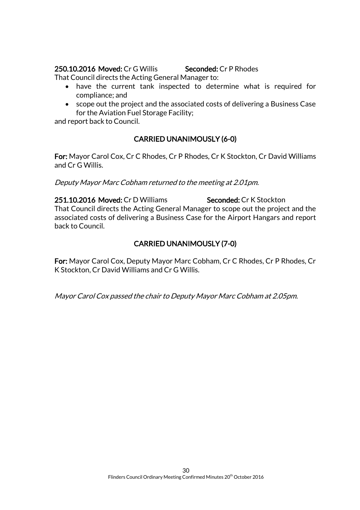#### 250.10.2016 Moved: Cr G Willis Seconded: Cr P Rhodes

That Council directs the Acting General Manager to:

- have the current tank inspected to determine what is required for compliance; and
- scope out the project and the associated costs of delivering a Business Case for the Aviation Fuel Storage Facility;

and report back to Council.

# CARRIED UNANIMOUSLY (6-0)

For: Mayor Carol Cox, Cr C Rhodes, Cr P Rhodes, Cr K Stockton, Cr David Williams and Cr G Willis.

Deputy Mayor Marc Cobham returned to the meeting at 2.01pm.

251.10.2016 Moved: Cr D Williams Seconded: Cr K Stockton That Council directs the Acting General Manager to scope out the project and the associated costs of delivering a Business Case for the Airport Hangars and report back to Council.

# CARRIED UNANIMOUSLY (7-0)

For: Mayor Carol Cox, Deputy Mayor Marc Cobham, Cr C Rhodes, Cr P Rhodes, Cr K Stockton, Cr David Williams and Cr G Willis.

Mayor Carol Cox passed the chair to Deputy Mayor Marc Cobham at 2.05pm.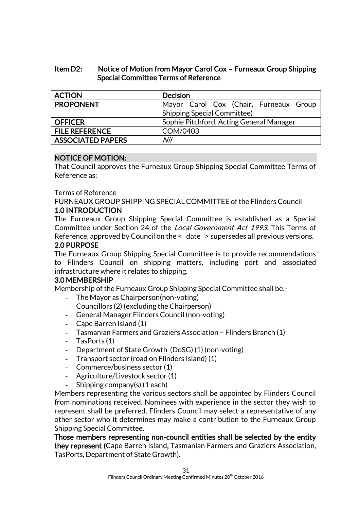#### Item D2: Notice of Motion from Mayor Carol Cox – Furneaux Group Shipping Special Committee Terms of Reference

| <b>ACTION</b>            | <b>Decision</b>                          |
|--------------------------|------------------------------------------|
| <b>PROPONENT</b>         | Mayor Carol Cox (Chair, Furneaux Group   |
|                          | <b>Shipping Special Committee)</b>       |
| <b>OFFICER</b>           | Sophie Pitchford, Acting General Manager |
| <b>FILE REFERENCE</b>    | COM/0403                                 |
| <b>ASSOCIATED PAPERS</b> | Nil                                      |

#### NOTICE OF MOTION:

That Council approves the Furneaux Group Shipping Special Committee Terms of Reference as:

#### Terms of Reference

FURNEAUX GROUP SHIPPING SPECIAL COMMITTEE of the Flinders Council

#### 1.0 INTRODUCTION

The Furneaux Group Shipping Special Committee is established as a Special Committee under Section 24 of the Local Government Act 1993. This Terms of Reference, approved by Council on the < date > supersedes all previous versions. 2.0 PURPOSE

The Furneaux Group Shipping Special Committee is to provide recommendations to Flinders Council on shipping matters, including port and associated infrastructure where it relates to shipping.

#### 3.0 MEMBERSHIP

Membership of the Furneaux Group Shipping Special Committee shall be:-

- The Mayor as Chairperson(non-voting)
- Councillors (2) (excluding the Chairperson)
- General Manager Flinders Council (non-voting)
- Cape Barren Island (1)
- Tasmanian Farmers and Graziers Association Flinders Branch (1)
- TasPorts (1)
- Department of State Growth (DoSG) (1) (non-voting)
- Transport sector (road on Flinders Island) (1)
- Commerce/business sector (1)
- Agriculture/Livestock sector (1)
- Shipping company(s) (1 each)

Members representing the various sectors shall be appointed by Flinders Council from nominations received. Nominees with experience in the sector they wish to represent shall be preferred. Flinders Council may select a representative of any other sector who it determines may make a contribution to the Furneaux Group Shipping Special Committee.

Those members representing non-council entities shall be selected by the entity they represent (Cape Barren Island, Tasmanian Farmers and Graziers Association, TasPorts, Department of State Growth).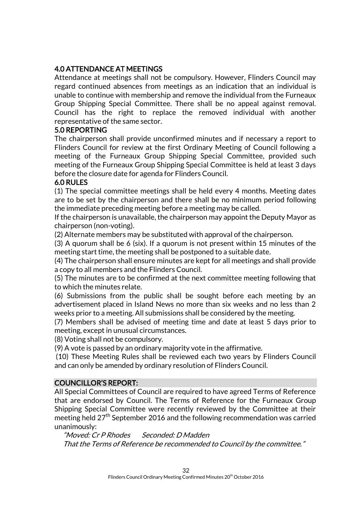# 4.0 ATTENDANCE AT MEETINGS

Attendance at meetings shall not be compulsory. However, Flinders Council may regard continued absences from meetings as an indication that an individual is unable to continue with membership and remove the individual from the Furneaux Group Shipping Special Committee. There shall be no appeal against removal. Council has the right to replace the removed individual with another representative of the same sector.

#### 5.0 REPORTING

The chairperson shall provide unconfirmed minutes and if necessary a report to Flinders Council for review at the first Ordinary Meeting of Council following a meeting of the Furneaux Group Shipping Special Committee, provided such meeting of the Furneaux Group Shipping Special Committee is held at least 3 days before the closure date for agenda for Flinders Council.

#### 6.0 RULES

(1) The special committee meetings shall be held every 4 months. Meeting dates are to be set by the chairperson and there shall be no minimum period following the immediate preceding meeting before a meeting may be called.

If the chairperson is unavailable, the chairperson may appoint the Deputy Mayor as chairperson (non-voting).

(2) Alternate members may be substituted with approval of the chairperson.

(3) A quorum shall be 6 (six). If a quorum is not present within 15 minutes of the meeting start time, the meeting shall be postponed to a suitable date.

(4) The chairperson shall ensure minutes are kept for all meetings and shall provide a copy to all members and the Flinders Council.

(5) The minutes are to be confirmed at the next committee meeting following that to which the minutes relate.

(6) Submissions from the public shall be sought before each meeting by an advertisement placed in Island News no more than six weeks and no less than 2 weeks prior to a meeting. All submissions shall be considered by the meeting.

(7) Members shall be advised of meeting time and date at least 5 days prior to meeting, except in unusual circumstances.

(8) Voting shall not be compulsory.

(9) A vote is passed by an ordinary majority vote in the affirmative.

(10) These Meeting Rules shall be reviewed each two years by Flinders Council and can only be amended by ordinary resolution of Flinders Council.

#### COUNCILLOR'S REPORT:

All Special Committees of Council are required to have agreed Terms of Reference that are endorsed by Council. The Terms of Reference for the Furneaux Group Shipping Special Committee were recently reviewed by the Committee at their meeting held  $27<sup>th</sup>$  September 2016 and the following recommendation was carried unanimously:

"Moved: Cr P Rhodes Seconded: D Madden That the Terms of Reference be recommended to Council by the committee."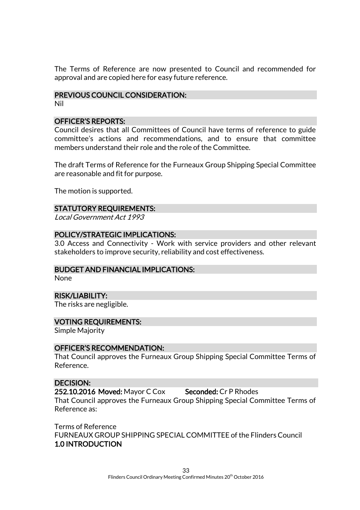The Terms of Reference are now presented to Council and recommended for approval and are copied here for easy future reference.

#### PREVIOUS COUNCIL CONSIDERATION:

Nil

#### OFFICER'S REPORTS:

Council desires that all Committees of Council have terms of reference to guide committee's actions and recommendations, and to ensure that committee members understand their role and the role of the Committee.

The draft Terms of Reference for the Furneaux Group Shipping Special Committee are reasonable and fit for purpose.

The motion is supported.

#### STATUTORY REQUIREMENTS:

Local Government Act 1993

#### POLICY/STRATEGIC IMPLICATIONS:

3.0 Access and Connectivity - Work with service providers and other relevant stakeholders to improve security, reliability and cost effectiveness.

#### BUDGET AND FINANCIAL IMPLICATIONS:

None

#### RISK/LIABILITY:

The risks are negligible.

#### VOTING REQUIREMENTS:

Simple Majority

#### OFFICER'S RECOMMENDATION:

That Council approves the Furneaux Group Shipping Special Committee Terms of Reference.

#### DECISION:

252.10.2016 Moved: Mayor C Cox Seconded: Cr P Rhodes

That Council approves the Furneaux Group Shipping Special Committee Terms of Reference as:

Terms of Reference FURNEAUX GROUP SHIPPING SPECIAL COMMITTEE of the Flinders Council 1.0 INTRODUCTION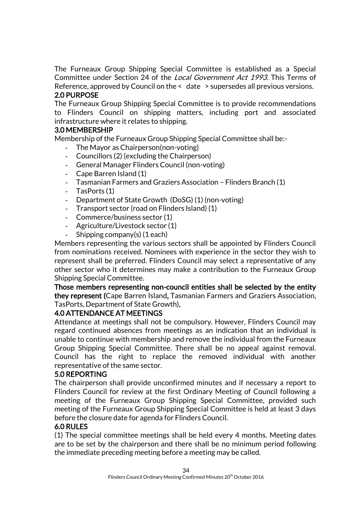The Furneaux Group Shipping Special Committee is established as a Special Committee under Section 24 of the Local Government Act 1993. This Terms of Reference, approved by Council on the < date > supersedes all previous versions. 2.0 PURPOSE

The Furneaux Group Shipping Special Committee is to provide recommendations to Flinders Council on shipping matters, including port and associated infrastructure where it relates to shipping.

# 3.0 MEMBERSHIP

Membership of the Furneaux Group Shipping Special Committee shall be:-

- The Mayor as Chairperson(non-voting)
- Councillors (2) (excluding the Chairperson)
- General Manager Flinders Council (non-voting)
- Cape Barren Island (1)
- Tasmanian Farmers and Graziers Association Flinders Branch (1)
- TasPorts (1)
- Department of State Growth (DoSG) (1) (non-voting)
- Transport sector (road on Flinders Island) (1)
- Commerce/business sector (1)
- Agriculture/Livestock sector (1)
- Shipping company(s) (1 each)

Members representing the various sectors shall be appointed by Flinders Council from nominations received. Nominees with experience in the sector they wish to represent shall be preferred. Flinders Council may select a representative of any other sector who it determines may make a contribution to the Furneaux Group Shipping Special Committee.

#### Those members representing non-council entities shall be selected by the entity they represent (Cape Barren Island, Tasmanian Farmers and Graziers Association, TasPorts, Department of State Growth).

#### 4.0 ATTENDANCE AT MEETINGS

Attendance at meetings shall not be compulsory. However, Flinders Council may regard continued absences from meetings as an indication that an individual is unable to continue with membership and remove the individual from the Furneaux Group Shipping Special Committee. There shall be no appeal against removal. Council has the right to replace the removed individual with another representative of the same sector.

#### 5.0 REPORTING

The chairperson shall provide unconfirmed minutes and if necessary a report to Flinders Council for review at the first Ordinary Meeting of Council following a meeting of the Furneaux Group Shipping Special Committee, provided such meeting of the Furneaux Group Shipping Special Committee is held at least 3 days before the closure date for agenda for Flinders Council.

#### 6.0 RULES

(1) The special committee meetings shall be held every 4 months. Meeting dates are to be set by the chairperson and there shall be no minimum period following the immediate preceding meeting before a meeting may be called.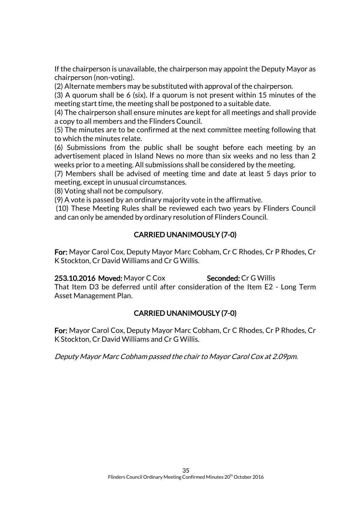If the chairperson is unavailable, the chairperson may appoint the Deputy Mayor as chairperson (non-voting).

(2) Alternate members may be substituted with approval of the chairperson.

(3) A quorum shall be 6 (six). If a quorum is not present within 15 minutes of the meeting start time, the meeting shall be postponed to a suitable date.

(4) The chairperson shall ensure minutes are kept for all meetings and shall provide a copy to all members and the Flinders Council.

(5) The minutes are to be confirmed at the next committee meeting following that to which the minutes relate.

(6) Submissions from the public shall be sought before each meeting by an advertisement placed in Island News no more than six weeks and no less than 2 weeks prior to a meeting. All submissions shall be considered by the meeting.

(7) Members shall be advised of meeting time and date at least 5 days prior to meeting, except in unusual circumstances.

(8) Voting shall not be compulsory.

(9) A vote is passed by an ordinary majority vote in the affirmative.

(10) These Meeting Rules shall be reviewed each two years by Flinders Council and can only be amended by ordinary resolution of Flinders Council.

# CARRIED UNANIMOUSLY (7-0)

For: Mayor Carol Cox, Deputy Mayor Marc Cobham, Cr C Rhodes, Cr P Rhodes, Cr K Stockton, Cr David Williams and Cr G Willis.

#### 253.10.2016 Moved: Mayor C Cox Seconded: Cr G Willis

That Item D3 be deferred until after consideration of the Item E2 - Long Term Asset Management Plan.

# CARRIED UNANIMOUSLY (7-0)

For: Mayor Carol Cox, Deputy Mayor Marc Cobham, Cr C Rhodes, Cr P Rhodes, Cr K Stockton, Cr David Williams and Cr G Willis.

Deputy Mayor Marc Cobham passed the chair to Mayor Carol Cox at 2.09pm.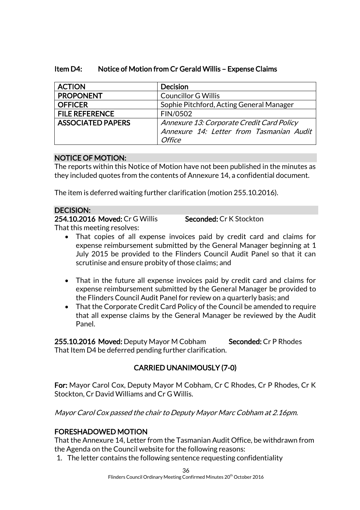| <b>ACTION</b>            | <b>Decision</b>                                                                                        |
|--------------------------|--------------------------------------------------------------------------------------------------------|
| <b>PROPONENT</b>         | <b>Councillor G Willis</b>                                                                             |
| <b>OFFICER</b>           | Sophie Pitchford, Acting General Manager                                                               |
| <b>FILE REFERENCE</b>    | FIN/0502                                                                                               |
| <b>ASSOCIATED PAPERS</b> | Annexure 13: Corporate Credit Card Policy<br>Annexure 14: Letter from Tasmanian Audit<br><b>Office</b> |

## Item D4: Notice of Motion from Cr Gerald Willis – Expense Claims

#### NOTICE OF MOTION:

The reports within this Notice of Motion have not been published in the minutes as they included quotes from the contents of Annexure 14, a confidential document.

The item is deferred waiting further clarification (motion 255.10.2016).

#### DECISION:

254.10.2016 Moved: Cr G Willis Seconded: Cr K Stockton

That this meeting resolves:

- That copies of all expense invoices paid by credit card and claims for expense reimbursement submitted by the General Manager beginning at 1 July 2015 be provided to the Flinders Council Audit Panel so that it can scrutinise and ensure probity of those claims; and
- That in the future all expense invoices paid by credit card and claims for expense reimbursement submitted by the General Manager be provided to the Flinders Council Audit Panel for review on a quarterly basis; and
- That the Corporate Credit Card Policy of the Council be amended to require that all expense claims by the General Manager be reviewed by the Audit Panel.

255.10.2016 Moved: Deputy Mayor M Cobham Seconded: Cr P Rhodes That Item D4 be deferred pending further clarification.

# CARRIED UNANIMOUSLY (7-0)

For: Mayor Carol Cox, Deputy Mayor M Cobham, Cr C Rhodes, Cr P Rhodes, Cr K Stockton, Cr David Williams and Cr G Willis.

Mayor Carol Cox passed the chair to Deputy Mayor Marc Cobham at 2.16pm.

# FORESHADOWED MOTION

That the Annexure 14, Letter from the Tasmanian Audit Office, be withdrawn from the Agenda on the Council website for the following reasons:

1. The letter contains the following sentence requesting confidentiality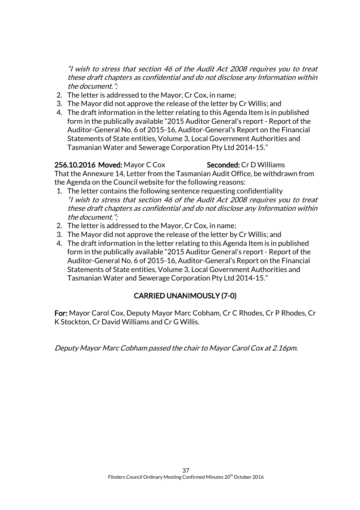"I wish to stress that section 46 of the Audit Act 2008 requires you to treat these draft chapters as confidential and do not disclose any Information within the document.";

- 2. The letter is addressed to the Mayor, Cr Cox, in name;
- 3. The Mayor did not approve the release of the letter by Cr Willis; and
- 4. The draft information in the letter relating to this Agenda Item is in published form in the publically available "2015 Auditor General's report - Report of the Auditor-General No. 6 of 2015-16, Auditor-General's Report on the Financial Statements of State entities, Volume 3, Local Government Authorities and Tasmanian Water and Sewerage Corporation Pty Ltd 2014-15."

#### 256.10.2016 Moved: Mayor C Cox Seconded: Cr D Williams

That the Annexure 14, Letter from the Tasmanian Audit Office, be withdrawn from the Agenda on the Council website for the following reasons:

- 1. The letter contains the following sentence requesting confidentiality "I wish to stress that section 46 of the Audit Act 2008 requires you to treat these draft chapters as confidential and do not disclose any Information within the document.";
- 2. The letter is addressed to the Mayor, Cr Cox, in name;
- 3. The Mayor did not approve the release of the letter by Cr Willis; and
- 4. The draft information in the letter relating to this Agenda Item is in published form in the publically available "2015 Auditor General's report - Report of the Auditor-General No. 6 of 2015-16, Auditor-General's Report on the Financial Statements of State entities, Volume 3, Local Government Authorities and Tasmanian Water and Sewerage Corporation Pty Ltd 2014-15."

# CARRIED UNANIMOUSLY (7-0)

For: Mayor Carol Cox, Deputy Mayor Marc Cobham, Cr C Rhodes, Cr P Rhodes, Cr K Stockton, Cr David Williams and Cr G Willis.

Deputy Mayor Marc Cobham passed the chair to Mayor Carol Cox at 2.16pm.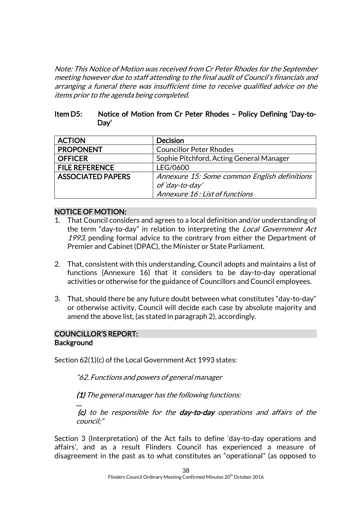Note: This Notice of Motion was received from Cr Peter Rhodes for the September meeting however due to staff attending to the final audit of Council's financials and arranging a funeral there was insufficient time to receive qualified advice on the items prior to the agenda being completed.

#### Item D5: Notice of Motion from Cr Peter Rhodes – Policy Defining 'Day-to-Day'

| <b>ACTION</b>            | <b>Decision</b>                              |
|--------------------------|----------------------------------------------|
| <b>PROPONENT</b>         | <b>Councillor Peter Rhodes</b>               |
| <b>OFFICER</b>           | Sophie Pitchford, Acting General Manager     |
| <b>FILE REFERENCE</b>    | LEG/0600                                     |
| <b>ASSOCIATED PAPERS</b> | Annexure 15: Some common English definitions |
|                          | of 'day-to-day'                              |
|                          | Annexure 16: List of functions               |

#### NOTICE OF MOTION:

- 1. That Council considers and agrees to a local definition and/or understanding of the term "day-to-day" in relation to interpreting the Local Government Act 1993, pending formal advice to the contrary from either the Department of Premier and Cabinet (DPAC), the Minister or State Parliament.
- 2. That, consistent with this understanding, Council adopts and maintains a list of functions (Annexure 16) that it considers to be day-to-day operational activities or otherwise for the guidance of Councillors and Council employees.
- 3. That, should there be any future doubt between what constitutes "day-to-day" or otherwise activity, Council will decide each case by absolute majority and amend the above list, (as stated in paragraph 2), accordingly.

#### COUNCILLOR'S REPORT: **Background**

…

Section 62(1)(c) of the Local Government Act 1993 states:

"62. Functions and powers of general manager

(1) The general manager has the following functions:

(c) to be responsible for the day-to-day operations and affairs of the council;"

Section 3 (Interpretation) of the Act fails to define 'day-to-day operations and affairs', and as a result Flinders Council has experienced a measure of disagreement in the past as to what constitutes an "operational" (as opposed to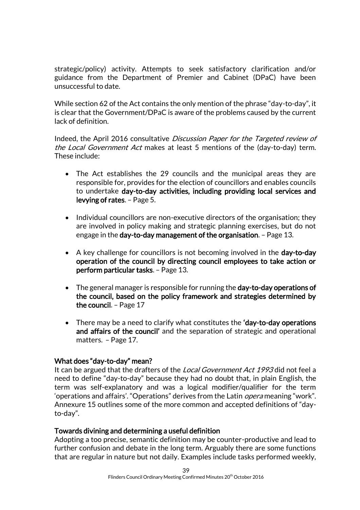strategic/policy) activity. Attempts to seek satisfactory clarification and/or guidance from the Department of Premier and Cabinet (DPaC) have been unsuccessful to date.

While section 62 of the Act contains the only mention of the phrase "day-to-day", it is clear that the Government/DPaC is aware of the problems caused by the current lack of definition.

Indeed, the April 2016 consultative Discussion Paper for the Targeted review of the Local Government Act makes at least 5 mentions of the (day-to-day) term. These include:

- The Act establishes the 29 councils and the municipal areas they are responsible for, provides for the election of councillors and enables councils to undertake day-to-day activities, including providing local services and levying of rates. – Page 5.
- Individual councillors are non-executive directors of the organisation; they are involved in policy making and strategic planning exercises, but do not engage in the day-to-day management of the organisation. – Page 13.
- A key challenge for councillors is not becoming involved in the **day-to-day** operation of the council by directing council employees to take action or perform particular tasks. – Page 13.
- The general manager is responsible for running the day-to-day operations of the council, based on the policy framework and strategies determined by the council. – Page 17
- There may be a need to clarify what constitutes the 'day-to-day operations and affairs of the council' and the separation of strategic and operational matters. – Page 17.

#### What does "day-to-day" mean?

It can be argued that the drafters of the Local Government Act 1993 did not feel a need to define "day-to-day" because they had no doubt that, in plain English, the term was self-explanatory and was a logical modifier/qualifier for the term 'operations and affairs'. "Operations" derives from the Latin *opera* meaning "work". Annexure 15 outlines some of the more common and accepted definitions of "dayto-day".

#### Towards divining and determining a useful definition

Adopting a too precise, semantic definition may be counter-productive and lead to further confusion and debate in the long term. Arguably there are some functions that are regular in nature but not daily. Examples include tasks performed weekly,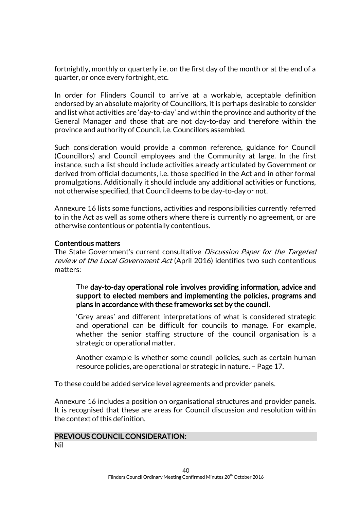fortnightly, monthly or quarterly i.e. on the first day of the month or at the end of a quarter, or once every fortnight, etc.

In order for Flinders Council to arrive at a workable, acceptable definition endorsed by an absolute majority of Councillors, it is perhaps desirable to consider and list what activities are 'day-to-day' and within the province and authority of the General Manager and those that are not day-to-day and therefore within the province and authority of Council, i.e. Councillors assembled.

Such consideration would provide a common reference, guidance for Council (Councillors) and Council employees and the Community at large. In the first instance, such a list should include activities already articulated by Government or derived from official documents, i.e. those specified in the Act and in other formal promulgations. Additionally it should include any additional activities or functions, not otherwise specified, that Council deems to be day-to-day or not.

Annexure 16 lists some functions, activities and responsibilities currently referred to in the Act as well as some others where there is currently no agreement, or are otherwise contentious or potentially contentious.

#### Contentious matters

The State Government's current consultative *Discussion Paper for the Targeted* review of the Local Government Act (April 2016) identifies two such contentious matters:

The day-to-day operational role involves providing information, advice and support to elected members and implementing the policies, programs and plans in accordance with these frameworks set by the council.

'Grey areas' and different interpretations of what is considered strategic and operational can be difficult for councils to manage. For example, whether the senior staffing structure of the council organisation is a strategic or operational matter.

Another example is whether some council policies, such as certain human resource policies, are operational or strategic in nature. – Page 17.

To these could be added service level agreements and provider panels.

Annexure 16 includes a position on organisational structures and provider panels. It is recognised that these are areas for Council discussion and resolution within the context of this definition.

#### PREVIOUS COUNCIL CONSIDERATION: Nil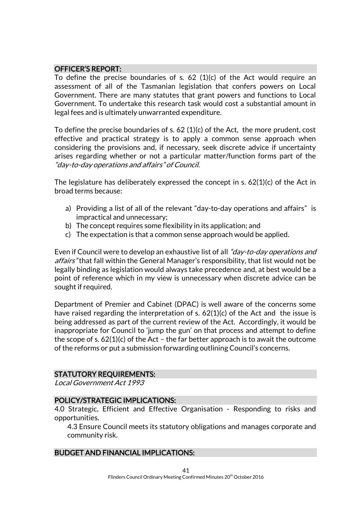#### OFFICER'S REPORT:

To define the precise boundaries of s. 62 (1)(c) of the Act would require an assessment of all of the Tasmanian legislation that confers powers on Local Government. There are many statutes that grant powers and functions to Local Government. To undertake this research task would cost a substantial amount in legal fees and is ultimately unwarranted expenditure.

To define the precise boundaries of s. 62 (1)(c) of the Act, the more prudent, cost effective and practical strategy is to apply a common sense approach when considering the provisions and, if necessary, seek discrete advice if uncertainty arises regarding whether or not a particular matter/function forms part of the "day-to-day operations and affairs" of Council.

The legislature has deliberately expressed the concept in s. 62(1)(c) of the Act in broad terms because:

- a) Providing a list of all of the relevant "day-to-day operations and affairs" is impractical and unnecessary;
- b) The concept requires some flexibility in its application; and
- c) The expectation is that a common sense approach would be applied.

Even if Council were to develop an exhaustive list of all "*day-to-day operations and* affairs" that fall within the General Manager's responsibility, that list would not be legally binding as legislation would always take precedence and, at best would be a point of reference which in my view is unnecessary when discrete advice can be sought if required.

Department of Premier and Cabinet (DPAC) is well aware of the concerns some have raised regarding the interpretation of s. 62(1)(c) of the Act and the issue is being addressed as part of the current review of the Act. Accordingly, it would be inappropriate for Council to 'jump the gun' on that process and attempt to define the scope of s.  $62(1)(c)$  of the Act – the far better approach is to await the outcome of the reforms or put a submission forwarding outlining Council's concerns.

#### STATUTORY REQUIREMENTS:

Local Government Act 1993

#### POLICY/STRATEGIC IMPLICATIONS:

4.0 Strategic, Efficient and Effective Organisation - Responding to risks and opportunities.

4.3 Ensure Council meets its statutory obligations and manages corporate and community risk.

#### BUDGET AND FINANCIAL IMPLICATIONS: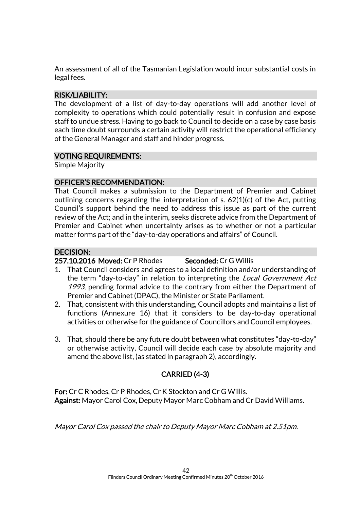An assessment of all of the Tasmanian Legislation would incur substantial costs in legal fees.

#### RISK/LIABILITY:

The development of a list of day-to-day operations will add another level of complexity to operations which could potentially result in confusion and expose staff to undue stress. Having to go back to Council to decide on a case by case basis each time doubt surrounds a certain activity will restrict the operational efficiency of the General Manager and staff and hinder progress.

#### VOTING REQUIREMENTS:

Simple Majority

#### OFFICER'S RECOMMENDATION:

That Council makes a submission to the Department of Premier and Cabinet outlining concerns regarding the interpretation of s. 62(1)(c) of the Act, putting Council's support behind the need to address this issue as part of the current review of the Act; and in the interim, seeks discrete advice from the Department of Premier and Cabinet when uncertainty arises as to whether or not a particular matter forms part of the "day-to-day operations and affairs" of Council.

#### DECISION:

#### 257.10.2016 Moved: Cr P Rhodes Seconded: Cr G Willis

- 1. That Council considers and agrees to a local definition and/or understanding of the term "day-to-day" in relation to interpreting the Local Government Act 1993, pending formal advice to the contrary from either the Department of Premier and Cabinet (DPAC), the Minister or State Parliament.
- 2. That, consistent with this understanding, Council adopts and maintains a list of functions (Annexure 16) that it considers to be day-to-day operational activities or otherwise for the guidance of Councillors and Council employees.
- 3. That, should there be any future doubt between what constitutes "day-to-day" or otherwise activity, Council will decide each case by absolute majority and amend the above list, (as stated in paragraph 2), accordingly.

# CARRIED (4-3)

For: Cr C Rhodes, Cr P Rhodes, Cr K Stockton and Cr G Willis. Against: Mayor Carol Cox, Deputy Mayor Marc Cobham and Cr David Williams.

Mayor Carol Cox passed the chair to Deputy Mayor Marc Cobham at 2.51pm.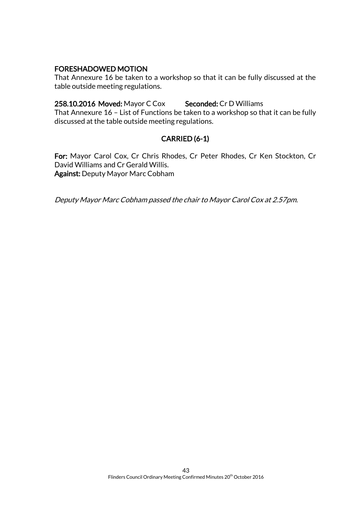#### FORESHADOWED MOTION

That Annexure 16 be taken to a workshop so that it can be fully discussed at the table outside meeting regulations.

258.10.2016 Moved: Mayor C Cox Seconded: Cr D Williams

That Annexure 16 – List of Functions be taken to a workshop so that it can be fully discussed at the table outside meeting regulations.

# CARRIED (6-1)

For: Mayor Carol Cox, Cr Chris Rhodes, Cr Peter Rhodes, Cr Ken Stockton, Cr David Williams and Cr Gerald Willis. Against: Deputy Mayor Marc Cobham

Deputy Mayor Marc Cobham passed the chair to Mayor Carol Cox at 2.57pm.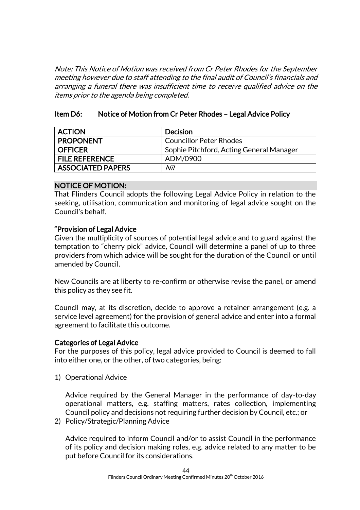Note: This Notice of Motion was received from Cr Peter Rhodes for the September meeting however due to staff attending to the final audit of Council's financials and arranging a funeral there was insufficient time to receive qualified advice on the items prior to the agenda being completed.

#### Item D6: Notice of Motion from Cr Peter Rhodes – Legal Advice Policy

| <b>ACTION</b>            | <b>Decision</b>                          |
|--------------------------|------------------------------------------|
| <b>PROPONENT</b>         | <b>Councillor Peter Rhodes</b>           |
| <b>OFFICER</b>           | Sophie Pitchford, Acting General Manager |
| <b>FILE REFERENCE</b>    | ADM/0900                                 |
| <b>ASSOCIATED PAPERS</b> | Nil                                      |

#### NOTICE OF MOTION:

That Flinders Council adopts the following Legal Advice Policy in relation to the seeking, utilisation, communication and monitoring of legal advice sought on the Council's behalf.

#### "Provision of Legal Advice

Given the multiplicity of sources of potential legal advice and to guard against the temptation to "cherry pick" advice, Council will determine a panel of up to three providers from which advice will be sought for the duration of the Council or until amended by Council.

New Councils are at liberty to re-confirm or otherwise revise the panel, or amend this policy as they see fit.

Council may, at its discretion, decide to approve a retainer arrangement (e.g. a service level agreement) for the provision of general advice and enter into a formal agreement to facilitate this outcome.

#### Categories of Legal Advice

For the purposes of this policy, legal advice provided to Council is deemed to fall into either one, or the other, of two categories, being:

1) Operational Advice

Advice required by the General Manager in the performance of day-to-day operational matters, e.g. staffing matters, rates collection, implementing Council policy and decisions not requiring further decision by Council, etc.; or

2) Policy/Strategic/Planning Advice

Advice required to inform Council and/or to assist Council in the performance of its policy and decision making roles, e.g. advice related to any matter to be put before Council for its considerations.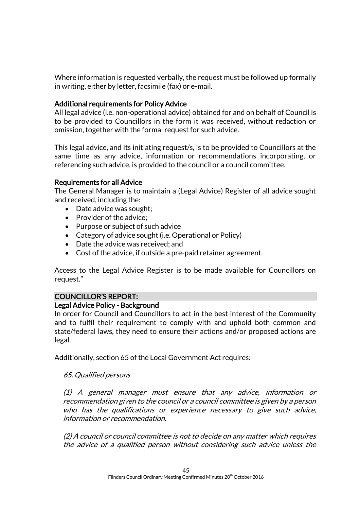Where information is requested verbally, the request must be followed up formally in writing, either by letter, facsimile (fax) or e-mail.

#### Additional requirements for Policy Advice

All legal advice (i.e. non-operational advice) obtained for and on behalf of Council is to be provided to Councillors in the form it was received, without redaction or omission, together with the formal request for such advice.

This legal advice, and its initiating request/s, is to be provided to Councillors at the same time as any advice, information or recommendations incorporating, or referencing such advice, is provided to the council or a council committee.

#### Requirements for all Advice

The General Manager is to maintain a (Legal Advice) Register of all advice sought and received, including the:

- Date advice was sought;
- Provider of the advice;
- Purpose or subject of such advice
- Category of advice sought (i.e. Operational or Policy)
- Date the advice was received; and
- Cost of the advice, if outside a pre-paid retainer agreement.

Access to the Legal Advice Register is to be made available for Councillors on request."

#### COUNCILLOR'S REPORT:

#### Legal Advice Policy - Background

In order for Council and Councillors to act in the best interest of the Community and to fulfil their requirement to comply with and uphold both common and state/federal laws, they need to ensure their actions and/or proposed actions are legal.

Additionally, section 65 of the Local Government Act requires:

#### 65. Qualified persons

(1) A general manager must ensure that any advice, information or recommendation given to the council or a council committee is given by a person who has the qualifications or experience necessary to give such advice, information or recommendation.

(2) A council or council committee is not to decide on any matter which requires the advice of a qualified person without considering such advice unless the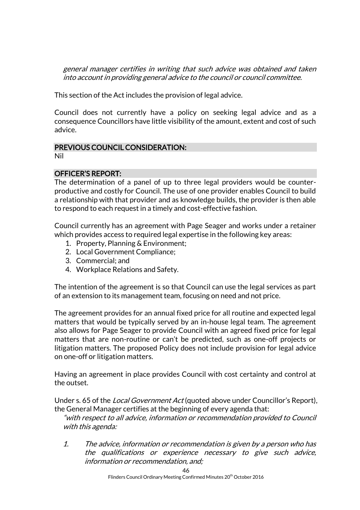general manager certifies in writing that such advice was obtained and taken into account in providing general advice to the council or council committee.

This section of the Act includes the provision of legal advice.

Council does not currently have a policy on seeking legal advice and as a consequence Councillors have little visibility of the amount, extent and cost of such advice.

# PREVIOUS COUNCIL CONSIDERATION:

Nil

# OFFICER'S REPORT:

The determination of a panel of up to three legal providers would be counterproductive and costly for Council. The use of one provider enables Council to build a relationship with that provider and as knowledge builds, the provider is then able to respond to each request in a timely and cost-effective fashion.

Council currently has an agreement with Page Seager and works under a retainer which provides access to required legal expertise in the following key areas:

- 1. Property, Planning & Environment;
- 2. Local Government Compliance;
- 3. Commercial; and
- 4. Workplace Relations and Safety.

The intention of the agreement is so that Council can use the legal services as part of an extension to its management team, focusing on need and not price.

The agreement provides for an annual fixed price for all routine and expected legal matters that would be typically served by an in-house legal team. The agreement also allows for Page Seager to provide Council with an agreed fixed price for legal matters that are non-routine or can't be predicted, such as one-off projects or litigation matters. The proposed Policy does not include provision for legal advice on one-off or litigation matters.

Having an agreement in place provides Council with cost certainty and control at the outset.

Under s. 65 of the *Local Government Act* (quoted above under Councillor's Report), the General Manager certifies at the beginning of every agenda that:

"with respect to all advice, information or recommendation provided to Council with this agenda:

1. The advice, information or recommendation is given by a person who has the qualifications or experience necessary to give such advice, information or recommendation, and;

46

Flinders Council Ordinary Meeting Confirmed Minutes 20<sup>th</sup> October 2016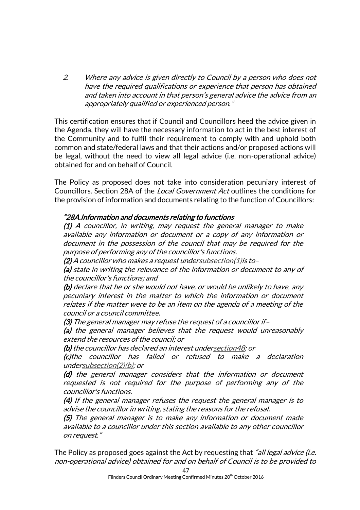2. Where any advice is given directly to Council by a person who does not have the required qualifications or experience that person has obtained and taken into account in that person's general advice the advice from an appropriately qualified or experienced person."

This certification ensures that if Council and Councillors heed the advice given in the Agenda, they will have the necessary information to act in the best interest of the Community and to fulfil their requirement to comply with and uphold both common and state/federal laws and that their actions and/or proposed actions will be legal, without the need to view all legal advice (i.e. non-operational advice) obtained for and on behalf of Council.

The Policy as proposed does not take into consideration pecuniary interest of Councillors. Section 28A of the Local Government Act outlines the conditions for the provision of information and documents relating to the function of Councillors:

#### "28A. Information and documents relating to functions

(1) A councillor, in writing, may request the general manager to make available any information or document or a copy of any information or document in the possession of the council that may be required for the purpose of performing any of the councillor's functions.

 $(2)$  A councillor who makes a request undersubsection $(1)$  is to-

(a) state in writing the relevance of the information or document to any of the councillor's functions; and

(b) declare that he or she would not have, or would be unlikely to have, any pecuniary interest in the matter to which the information or document relates if the matter were to be an item on the agenda of a meeting of the council or a council committee.

(3) The general manager may refuse the request of a councillor if–

(a) the general manager believes that the request would unreasonably extend the resources of the council; or

(b) the councillor has declared an interest undersection 48: or

(c)the councillor has failed or refused to make a declaration unde[rsubsection\(2\)\(b\);](http://www.thelaw.tas.gov.au/tocview/content.w3p;cond=;doc_id=95%2B%2B1993%2BGS28A%40Gs2%40Hpb%40EN%2B20140924000000;histon=;inforequest=;pdfauthverid=;prompt=;rec=44;rtfauthverid=;term=;webauthverid=#GS28A@Gs2@Hpb@EN) or

(d) the general manager considers that the information or document requested is not required for the purpose of performing any of the councillor's functions.

(4) If the general manager refuses the request the general manager is to advise the councillor in writing, stating the reasons for the refusal.

(5) The general manager is to make any information or document made available to a councillor under this section available to any other councillor on request."

The Policy as proposed goes against the Act by requesting that "all legal advice (i.e. non-operational advice) obtained for and on behalf of Council is to be provided to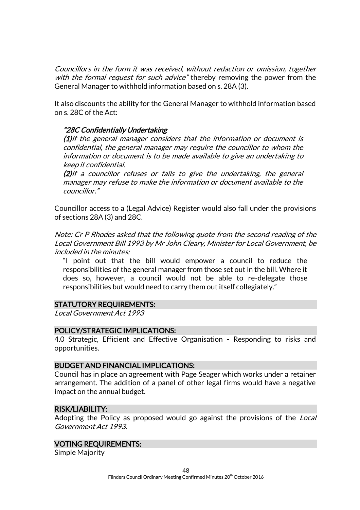Councillors in the form it was received, without redaction or omission, together with the formal request for such advice" thereby removing the power from the General Manager to withhold information based on s. 28A (3).

It also discounts the ability for the General Manager to withhold information based on s. 28C of the Act:

#### "28C Confidentially Undertaking

(1)If the general manager considers that the information or document is confidential, the general manager may require the councillor to whom the information or document is to be made available to give an undertaking to keep it confidential.

(2)If a councillor refuses or fails to give the undertaking, the general manager may refuse to make the information or document available to the councillor."

Councillor access to a (Legal Advice) Register would also fall under the provisions of sections 28A (3) and 28C.

Note: Cr P Rhodes asked that the following quote from the second reading of the Local Government Bill 1993 by Mr John Cleary, Minister for Local Government, be included in the minutes:

"I point out that the bill would empower a council to reduce the responsibilities of the general manager from those set out in the bill. Where it does so, however, a council would not be able to re-delegate those responsibilities but would need to carry them out itself collegiately."

#### STATUTORY REQUIREMENTS:

Local Government Act 1993

#### POLICY/STRATEGIC IMPLICATIONS:

4.0 Strategic, Efficient and Effective Organisation - Responding to risks and opportunities.

#### BUDGET AND FINANCIAL IMPLICATIONS:

Council has in place an agreement with Page Seager which works under a retainer arrangement. The addition of a panel of other legal firms would have a negative impact on the annual budget.

#### RISK/LIABILITY:

Adopting the Policy as proposed would go against the provisions of the Local Government Act 1993.

#### VOTING REQUIREMENTS:

Simple Majority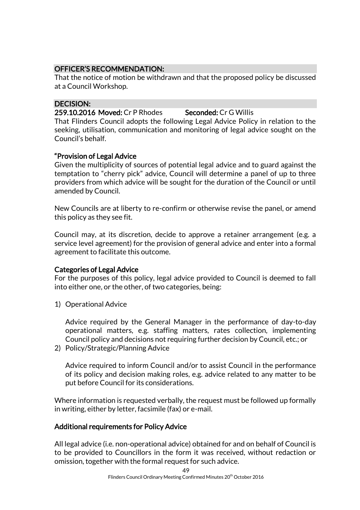# OFFICER'S RECOMMENDATION:

That the notice of motion be withdrawn and that the proposed policy be discussed at a Council Workshop.

## DECISION:

259.10.2016 Moved: Cr P Rhodes Seconded: Cr G Willis

That Flinders Council adopts the following Legal Advice Policy in relation to the seeking, utilisation, communication and monitoring of legal advice sought on the Council's behalf.

# "Provision of Legal Advice

Given the multiplicity of sources of potential legal advice and to guard against the temptation to "cherry pick" advice, Council will determine a panel of up to three providers from which advice will be sought for the duration of the Council or until amended by Council.

New Councils are at liberty to re-confirm or otherwise revise the panel, or amend this policy as they see fit.

Council may, at its discretion, decide to approve a retainer arrangement (e.g. a service level agreement) for the provision of general advice and enter into a formal agreement to facilitate this outcome.

#### Categories of Legal Advice

For the purposes of this policy, legal advice provided to Council is deemed to fall into either one, or the other, of two categories, being:

1) Operational Advice

Advice required by the General Manager in the performance of day-to-day operational matters, e.g. staffing matters, rates collection, implementing Council policy and decisions not requiring further decision by Council, etc.; or

2) Policy/Strategic/Planning Advice

Advice required to inform Council and/or to assist Council in the performance of its policy and decision making roles, e.g. advice related to any matter to be put before Council for its considerations.

Where information is requested verbally, the request must be followed up formally in writing, either by letter, facsimile (fax) or e-mail.

#### Additional requirements for Policy Advice

All legal advice (i.e. non-operational advice) obtained for and on behalf of Council is to be provided to Councillors in the form it was received, without redaction or omission, together with the formal request for such advice.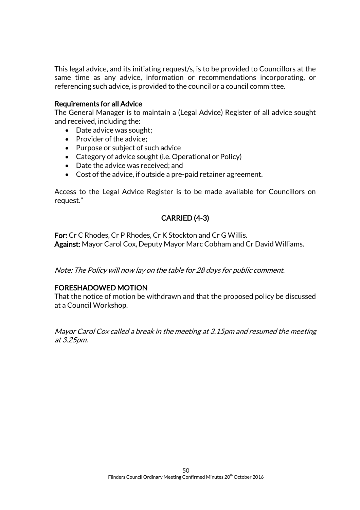This legal advice, and its initiating request/s, is to be provided to Councillors at the same time as any advice, information or recommendations incorporating, or referencing such advice, is provided to the council or a council committee.

#### Requirements for all Advice

The General Manager is to maintain a (Legal Advice) Register of all advice sought and received, including the:

- Date advice was sought;
- $\bullet$  Provider of the advice;
- Purpose or subject of such advice
- Category of advice sought (i.e. Operational or Policy)
- Date the advice was received; and
- Cost of the advice, if outside a pre-paid retainer agreement.

Access to the Legal Advice Register is to be made available for Councillors on request."

# CARRIED (4-3)

For: Cr C Rhodes, Cr P Rhodes, Cr K Stockton and Cr G Willis. Against: Mayor Carol Cox, Deputy Mayor Marc Cobham and Cr David Williams.

Note: The Policy will now lay on the table for 28 days for public comment.

#### FORESHADOWED MOTION

That the notice of motion be withdrawn and that the proposed policy be discussed at a Council Workshop.

Mayor Carol Cox called a break in the meeting at 3.15pm and resumed the meeting at 3.25pm.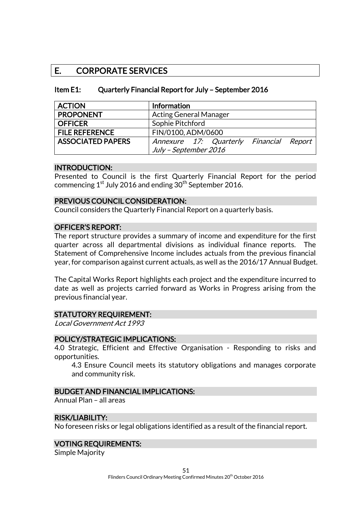# E. CORPORATE SERVICES

| Item E1: | Quarterly Financial Report for July - September 2016 |
|----------|------------------------------------------------------|
|----------|------------------------------------------------------|

| <b>ACTION</b>            | Information                             |
|--------------------------|-----------------------------------------|
| <b>PROPONENT</b>         | <b>Acting General Manager</b>           |
| <b>OFFICER</b>           | Sophie Pitchford                        |
| <b>FILE REFERENCE</b>    | FIN/0100, ADM/0600                      |
| <b>ASSOCIATED PAPERS</b> | Annexure 17: Quarterly Financial Report |
|                          | July - September 2016                   |

#### INTRODUCTION:

Presented to Council is the first Quarterly Financial Report for the period commencing  $1^{st}$  July 2016 and ending  $30^{th}$  September 2016.

#### PREVIOUS COUNCIL CONSIDERATION:

Council considers the Quarterly Financial Report on a quarterly basis.

#### OFFICER'S REPORT:

The report structure provides a summary of income and expenditure for the first quarter across all departmental divisions as individual finance reports. The Statement of Comprehensive Income includes actuals from the previous financial year, for comparison against current actuals, as well as the 2016/17 Annual Budget.

The Capital Works Report highlights each project and the expenditure incurred to date as well as projects carried forward as Works in Progress arising from the previous financial year.

#### STATUTORY REQUIREMENT:

Local Government Act 1993

#### POLICY/STRATEGIC IMPLICATIONS:

4.0 Strategic, Efficient and Effective Organisation - Responding to risks and opportunities.

4.3 Ensure Council meets its statutory obligations and manages corporate and community risk.

#### BUDGET AND FINANCIAL IMPLICATIONS:

Annual Plan – all areas

#### RISK/LIABILITY:

No foreseen risks or legal obligations identified as a result of the financial report.

#### VOTING REQUIREMENTS:

Simple Majority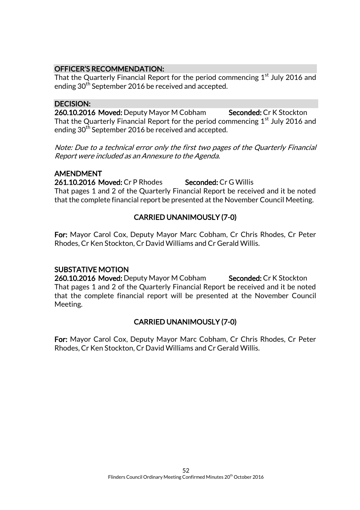#### OFFICER'S RECOMMENDATION:

That the Quarterly Financial Report for the period commencing  $1<sup>st</sup>$  July 2016 and ending 30<sup>th</sup> September 2016 be received and accepted.

#### DECISION:

260.10.2016 Moved: Deputy Mayor M Cobham Seconded: Cr K Stockton That the Quarterly Financial Report for the period commencing  $1<sup>st</sup>$  July 2016 and ending 30<sup>th</sup> September 2016 be received and accepted.

Note: Due to a technical error only the first two pages of the Quarterly Financial Report were included as an Annexure to the Agenda.

#### AMENDMENT

261.10.2016 Moved: Cr P Rhodes Seconded: Cr G Willis That pages 1 and 2 of the Quarterly Financial Report be received and it be noted that the complete financial report be presented at the November Council Meeting.

# CARRIED UNANIMOUSLY (7-0)

For: Mayor Carol Cox, Deputy Mayor Marc Cobham, Cr Chris Rhodes, Cr Peter Rhodes, Cr Ken Stockton, Cr David Williams and Cr Gerald Willis.

#### SUBSTATIVE MOTION

260.10.2016 Moved: Deputy Mayor M Cobham Seconded: Cr K Stockton That pages 1 and 2 of the Quarterly Financial Report be received and it be noted that the complete financial report will be presented at the November Council Meeting.

# CARRIED UNANIMOUSLY (7-0)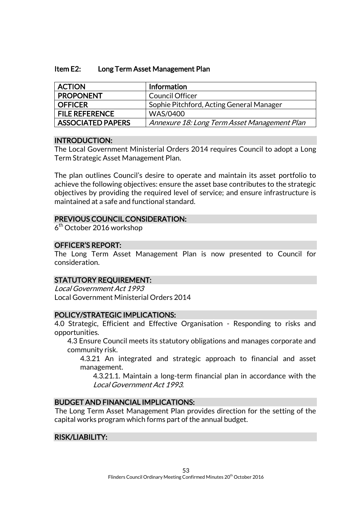#### Item E2: Long Term Asset Management Plan

| <b>ACTION</b>            | Information                                  |
|--------------------------|----------------------------------------------|
| <b>PROPONENT</b>         | <b>Council Officer</b>                       |
| <b>OFFICER</b>           | Sophie Pitchford, Acting General Manager     |
| <b>FILE REFERENCE</b>    | WAS/0400                                     |
| <b>ASSOCIATED PAPERS</b> | Annexure 18: Long Term Asset Management Plan |

#### INTRODUCTION:

The Local Government Ministerial Orders 2014 requires Council to adopt a Long Term Strategic Asset Management Plan.

The plan outlines Council's desire to operate and maintain its asset portfolio to achieve the following objectives: ensure the asset base contributes to the strategic objectives by providing the required level of service; and ensure infrastructure is maintained at a safe and functional standard.

#### PREVIOUS COUNCIL CONSIDERATION:

6<sup>th</sup> October 2016 workshop

#### OFFICER'S REPORT:

The Long Term Asset Management Plan is now presented to Council for consideration.

#### STATUTORY REQUIREMENT:

Local Government Act 1993 Local Government Ministerial Orders 2014

#### POLICY/STRATEGIC IMPLICATIONS:

4.0 Strategic, Efficient and Effective Organisation - Responding to risks and opportunities.

4.3 Ensure Council meets its statutory obligations and manages corporate and community risk.

4.3.21 An integrated and strategic approach to financial and asset management.

4.3.21.1. Maintain a long-term financial plan in accordance with the Local Government Act 1993.

#### BUDGET AND FINANCIAL IMPLICATIONS:

The Long Term Asset Management Plan provides direction for the setting of the capital works program which forms part of the annual budget.

#### RISK/LIABILITY: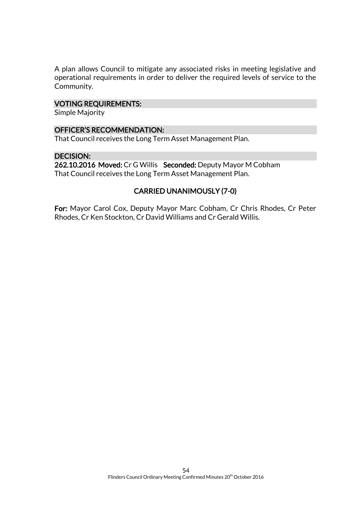A plan allows Council to mitigate any associated risks in meeting legislative and operational requirements in order to deliver the required levels of service to the Community.

#### VOTING REQUIREMENTS:

Simple Majority

#### OFFICER'S RECOMMENDATION:

That Council receives the Long Term Asset Management Plan.

#### DECISION:

262.10.2016 Moved: Cr G Willis Seconded: Deputy Mayor M Cobham That Council receives the Long Term Asset Management Plan.

#### CARRIED UNANIMOUSLY (7-0)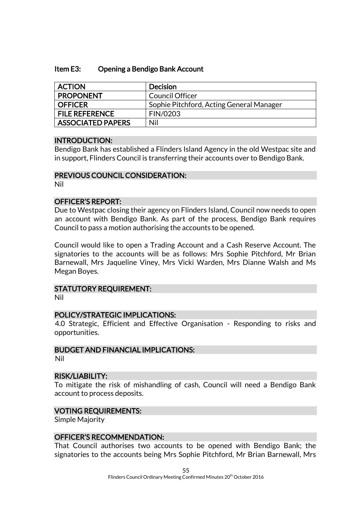#### Item E3: Opening a Bendigo Bank Account

| <b>ACTION</b>            | <b>Decision</b>                          |
|--------------------------|------------------------------------------|
| <b>PROPONENT</b>         | <b>Council Officer</b>                   |
| <b>OFFICER</b>           | Sophie Pitchford, Acting General Manager |
| <b>FILE REFERENCE</b>    | FIN/0203                                 |
| <b>ASSOCIATED PAPERS</b> | Nil                                      |

#### INTRODUCTION:

Bendigo Bank has established a Flinders Island Agency in the old Westpac site and in support, Flinders Council is transferring their accounts over to Bendigo Bank.

#### PREVIOUS COUNCIL CONSIDERATION:

Nil

#### OFFICER'S REPORT:

Due to Westpac closing their agency on Flinders Island, Council now needs to open an account with Bendigo Bank. As part of the process, Bendigo Bank requires Council to pass a motion authorising the accounts to be opened.

Council would like to open a Trading Account and a Cash Reserve Account. The signatories to the accounts will be as follows: Mrs Sophie Pitchford, Mr Brian Barnewall, Mrs Jaqueline Viney, Mrs Vicki Warden, Mrs Dianne Walsh and Ms Megan Boyes.

#### STATUTORY REQUIREMENT:

Nil

## POLICY/STRATEGIC IMPLICATIONS:

4.0 Strategic, Efficient and Effective Organisation - Responding to risks and opportunities.

#### BUDGET AND FINANCIAL IMPLICATIONS:

Nil

#### RISK/LIABILITY:

To mitigate the risk of mishandling of cash, Council will need a Bendigo Bank account to process deposits.

#### VOTING REQUIREMENTS:

Simple Majority

#### OFFICER'S RECOMMENDATION:

That Council authorises two accounts to be opened with Bendigo Bank; the signatories to the accounts being Mrs Sophie Pitchford, Mr Brian Barnewall, Mrs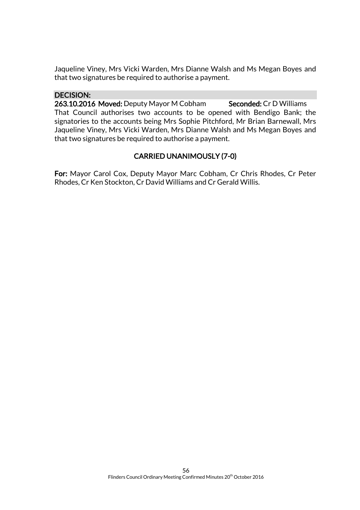Jaqueline Viney, Mrs Vicki Warden, Mrs Dianne Walsh and Ms Megan Boyes and that two signatures be required to authorise a payment.

#### DECISION:

263.10.2016 Moved: Deputy Mayor M Cobham Seconded: Cr D Williams That Council authorises two accounts to be opened with Bendigo Bank; the signatories to the accounts being Mrs Sophie Pitchford, Mr Brian Barnewall, Mrs Jaqueline Viney, Mrs Vicki Warden, Mrs Dianne Walsh and Ms Megan Boyes and that two signatures be required to authorise a payment.

# CARRIED UNANIMOUSLY (7-0)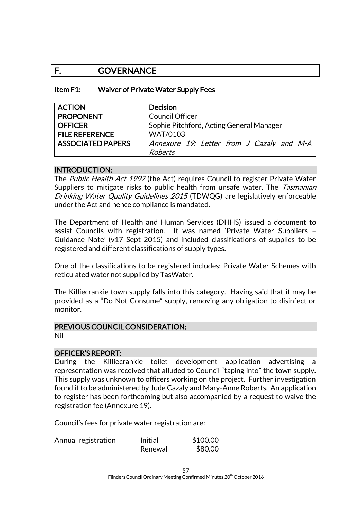# F. GOVERNANCE

| Item F1: | Waiver of Private Water Supply Fees |
|----------|-------------------------------------|
|----------|-------------------------------------|

| <b>ACTION</b>            | <b>Decision</b>                           |
|--------------------------|-------------------------------------------|
| <b>PROPONENT</b>         | <b>Council Officer</b>                    |
| <b>OFFICER</b>           | Sophie Pitchford, Acting General Manager  |
| <b>FILE REFERENCE</b>    | <b>WAT/0103</b>                           |
| <b>ASSOCIATED PAPERS</b> | Annexure 19: Letter from J Cazaly and M-A |
|                          | <b>Roberts</b>                            |

#### INTRODUCTION:

The Public Health Act 1997 (the Act) requires Council to register Private Water Suppliers to mitigate risks to public health from unsafe water. The Tasmanian Drinking Water Quality Guidelines 2015 (TDWQG) are legislatively enforceable under the Act and hence compliance is mandated.

The Department of Health and Human Services (DHHS) issued a document to assist Councils with registration. It was named 'Private Water Suppliers – Guidance Note' (v17 Sept 2015) and included classifications of supplies to be registered and different classifications of supply types.

One of the classifications to be registered includes: Private Water Schemes with reticulated water not supplied by TasWater.

The Killiecrankie town supply falls into this category. Having said that it may be provided as a "Do Not Consume" supply, removing any obligation to disinfect or monitor.

#### PREVIOUS COUNCIL CONSIDERATION:

Nil

#### OFFICER'S REPORT:

During the Killiecrankie toilet development application advertising a representation was received that alluded to Council "taping into" the town supply. This supply was unknown to officers working on the project. Further investigation found it to be administered by Jude Cazaly and Mary-Anne Roberts. An application to register has been forthcoming but also accompanied by a request to waive the registration fee (Annexure 19).

Council's fees for private water registration are:

| Annual registration | Initial | \$100.00 |
|---------------------|---------|----------|
|                     | Renewal | \$80.00  |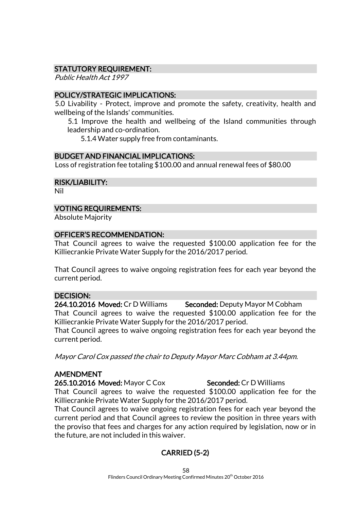#### STATUTORY REQUIREMENT:

Public Health Act 1997

#### POLICY/STRATEGIC IMPLICATIONS:

5.0 Livability - Protect, improve and promote the safety, creativity, health and wellbeing of the Islands' communities.

5.1 Improve the health and wellbeing of the Island communities through leadership and co-ordination.

5.1.4 Water supply free from contaminants.

#### BUDGET AND FINANCIAL IMPLICATIONS:

Loss of registration fee totaling \$100.00 and annual renewal fees of \$80.00

RISK/LIABILITY:

Nil

#### VOTING REQUIREMENTS:

Absolute Majority

# OFFICER'S RECOMMENDATION:

That Council agrees to waive the requested \$100.00 application fee for the Killiecrankie Private Water Supply for the 2016/2017 period.

That Council agrees to waive ongoing registration fees for each year beyond the current period.

#### DECISION:

264.10.2016 Moved: Cr D Williams Seconded: Deputy Mayor M Cobham That Council agrees to waive the requested \$100.00 application fee for the Killiecrankie Private Water Supply for the 2016/2017 period.

That Council agrees to waive ongoing registration fees for each year beyond the current period.

Mayor Carol Cox passed the chair to Deputy Mayor Marc Cobham at 3.44pm.

#### AMENDMENT

265.10.2016 Moved: Mayor C Cox Seconded: Cr D Williams

That Council agrees to waive the requested \$100.00 application fee for the Killiecrankie Private Water Supply for the 2016/2017 period.

That Council agrees to waive ongoing registration fees for each year beyond the current period and that Council agrees to review the position in three years with the proviso that fees and charges for any action required by legislation, now or in the future, are not included in this waiver.

# CARRIED (5-2)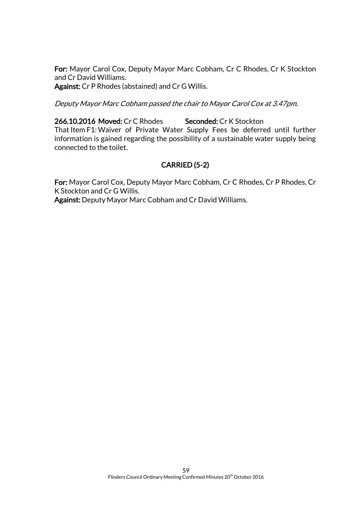For: Mayor Carol Cox, Deputy Mayor Marc Cobham, Cr C Rhodes, Cr K Stockton and Cr David Williams. Against: Cr P Rhodes (abstained) and Cr G Willis.

Deputy Mayor Marc Cobham passed the chair to Mayor Carol Cox at 3.47pm.

266.10.2016 Moved: Cr C Rhodes Seconded: Cr K Stockton That Item F1:Waiver of Private Water Supply Fees be deferred until further information is gained regarding the possibility of a sustainable water supply being connected to the toilet.

# CARRIED (5-2)

For: Mayor Carol Cox, Deputy Mayor Marc Cobham, Cr C Rhodes, Cr P Rhodes, Cr K Stockton and Cr G Willis.

Against: Deputy Mayor Marc Cobham and Cr David Williams.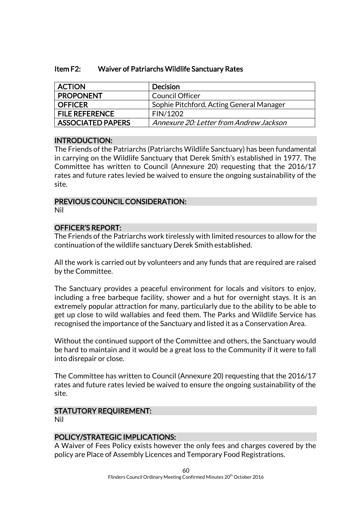| Item F2: | Waiver of Patriarchs Wildlife Sanctuary Rates |
|----------|-----------------------------------------------|
|----------|-----------------------------------------------|

| <b>ACTION</b>            | <b>Decision</b>                          |
|--------------------------|------------------------------------------|
| <b>PROPONENT</b>         | Council Officer                          |
| <b>OFFICER</b>           | Sophie Pitchford, Acting General Manager |
| <b>FILE REFERENCE</b>    | FIN/1202                                 |
| <b>ASSOCIATED PAPERS</b> | Annexure 20: Letter from Andrew Jackson  |

#### INTRODUCTION:

The Friends of the Patriarchs (Patriarchs Wildlife Sanctuary) has been fundamental in carrying on the Wildlife Sanctuary that Derek Smith's established in 1977. The Committee has written to Council (Annexure 20) requesting that the 2016/17 rates and future rates levied be waived to ensure the ongoing sustainability of the site.

#### PREVIOUS COUNCIL CONSIDERATION:

Nil

#### OFFICER'S REPORT:

The Friends of the Patriarchs work tirelessly with limited resources to allow for the continuation of the wildlife sanctuary Derek Smith established.

All the work is carried out by volunteers and any funds that are required are raised by the Committee.

The Sanctuary provides a peaceful environment for locals and visitors to enjoy, including a free barbeque facility, shower and a hut for overnight stays. It is an extremely popular attraction for many, particularly due to the ability to be able to get up close to wild wallabies and feed them. The Parks and Wildlife Service has recognised the importance of the Sanctuary and listed it as a Conservation Area.

Without the continued support of the Committee and others, the Sanctuary would be hard to maintain and it would be a great loss to the Community if it were to fall into disrepair or close.

The Committee has written to Council (Annexure 20) requesting that the 2016/17 rates and future rates levied be waived to ensure the ongoing sustainability of the site.

#### STATUTORY REQUIREMENT:

Nil

#### POLICY/STRATEGIC IMPLICATIONS:

A Waiver of Fees Policy exists however the only fees and charges covered by the policy are Place of Assembly Licences and Temporary Food Registrations.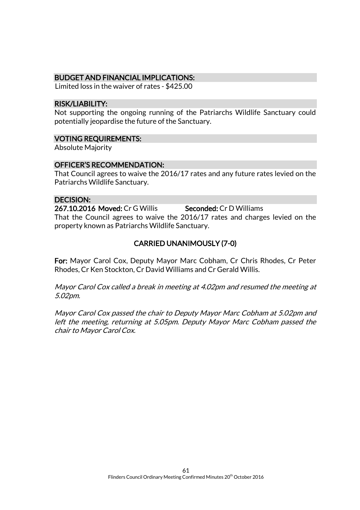#### BUDGET AND FINANCIAL IMPLICATIONS:

Limited loss in the waiver of rates - \$425.00

#### RISK/LIABILITY:

Not supporting the ongoing running of the Patriarchs Wildlife Sanctuary could potentially jeopardise the future of the Sanctuary.

#### VOTING REQUIREMENTS:

Absolute Majority

#### OFFICER'S RECOMMENDATION:

That Council agrees to waive the 2016/17 rates and any future rates levied on the Patriarchs Wildlife Sanctuary.

#### DECISION:

267.10.2016 Moved: Cr G Willis Seconded: Cr D Williams That the Council agrees to waive the 2016/17 rates and charges levied on the property known as Patriarchs Wildlife Sanctuary.

# CARRIED UNANIMOUSLY (7-0)

For: Mayor Carol Cox, Deputy Mayor Marc Cobham, Cr Chris Rhodes, Cr Peter Rhodes, Cr Ken Stockton, Cr David Williams and Cr Gerald Willis.

Mayor Carol Cox called a break in meeting at 4.02pm and resumed the meeting at 5.02pm.

Mayor Carol Cox passed the chair to Deputy Mayor Marc Cobham at 5.02pm and left the meeting, returning at 5.05pm. Deputy Mayor Marc Cobham passed the chair to Mayor Carol Cox.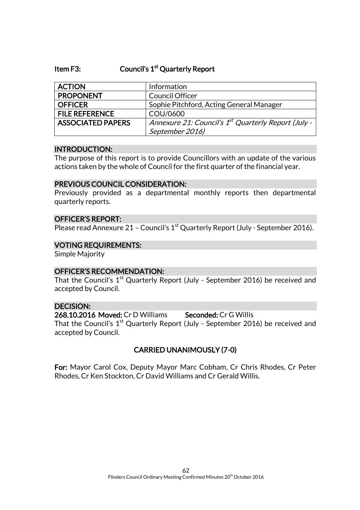#### Item F3: Council's 1<sup>st</sup> Quarterly Report

| <b>ACTION</b>            | Information                                                     |
|--------------------------|-----------------------------------------------------------------|
| <b>PROPONENT</b>         | <b>Council Officer</b>                                          |
| <b>OFFICER</b>           | Sophie Pitchford, Acting General Manager                        |
| <b>FILE REFERENCE</b>    | COU/0600                                                        |
| <b>ASSOCIATED PAPERS</b> | Annexure 21: Council's 1 <sup>st</sup> Quarterly Report (July - |
|                          | September 2016)                                                 |

#### INTRODUCTION:

The purpose of this report is to provide Councillors with an update of the various actions taken by the whole of Council for the first quarter of the financial year.

#### PREVIOUS COUNCIL CONSIDERATION:

Previously provided as a departmental monthly reports then departmental quarterly reports.

#### OFFICER'S REPORT:

Please read Annexure 21 - Council's 1<sup>st</sup> Quarterly Report (July - September 2016).

#### VOTING REQUIREMENTS:

Simple Majority

#### OFFICER'S RECOMMENDATION:

That the Council's  $1^\text{st}$  Quarterly Report (July - September 2016) be received and accepted by Council.

#### DECISION:

268.10.2016 Moved: Cr D Williams Seconded: Cr G Willis That the Council's  $1^\mathrm{st}$  Quarterly Report (July - September 2016) be received and accepted by Council.

#### CARRIED UNANIMOUSLY (7-0)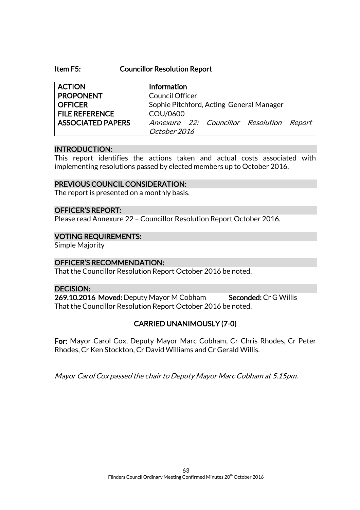#### Item F5: Councillor Resolution Report

| <b>ACTION</b>            | Information                                               |
|--------------------------|-----------------------------------------------------------|
| <b>PROPONENT</b>         | <b>Council Officer</b>                                    |
| <b>OFFICER</b>           | Sophie Pitchford, Acting General Manager                  |
| <b>FILE REFERENCE</b>    | COU/0600                                                  |
| <b>ASSOCIATED PAPERS</b> | Annexure 22: Councillor Resolution Report<br>October 2016 |

#### INTRODUCTION:

This report identifies the actions taken and actual costs associated with implementing resolutions passed by elected members up to October 2016.

#### PREVIOUS COUNCIL CONSIDERATION:

The report is presented on a monthly basis.

#### OFFICER'S REPORT:

Please read Annexure 22 – Councillor Resolution Report October 2016.

#### VOTING REQUIREMENTS:

Simple Majority

#### OFFICER'S RECOMMENDATION:

That the Councillor Resolution Report October 2016 be noted.

#### DECISION:

269.10.2016 Moved: Deputy Mayor M Cobham Seconded: Cr G Willis That the Councillor Resolution Report October 2016 be noted.

#### CARRIED UNANIMOUSLY (7-0)

For: Mayor Carol Cox, Deputy Mayor Marc Cobham, Cr Chris Rhodes, Cr Peter Rhodes, Cr Ken Stockton, Cr David Williams and Cr Gerald Willis.

Mayor Carol Cox passed the chair to Deputy Mayor Marc Cobham at 5.15pm.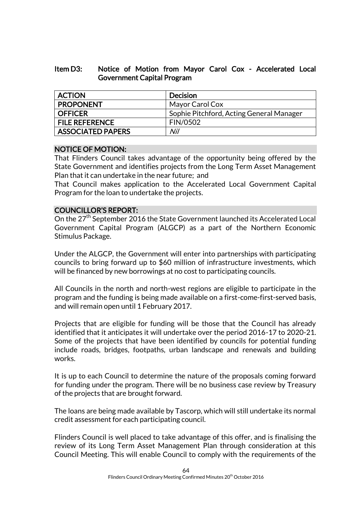#### Item D3: Notice of Motion from Mayor Carol Cox - Accelerated Local Government Capital Program

| <b>ACTION</b>            | <b>Decision</b>                          |
|--------------------------|------------------------------------------|
| <b>PROPONENT</b>         | Mayor Carol Cox                          |
| <b>OFFICER</b>           | Sophie Pitchford, Acting General Manager |
| <b>FILE REFERENCE</b>    | <b>FIN/0502</b>                          |
| <b>ASSOCIATED PAPERS</b> | Nil                                      |

#### NOTICE OF MOTION:

That Flinders Council takes advantage of the opportunity being offered by the State Government and identifies projects from the Long Term Asset Management Plan that it can undertake in the near future; and

That Council makes application to the Accelerated Local Government Capital Program for the loan to undertake the projects.

#### COUNCILLOR'S REPORT:

On the 27<sup>th</sup> September 2016 the State Government launched its Accelerated Local Government Capital Program (ALGCP) as a part of the Northern Economic Stimulus Package.

Under the ALGCP, the Government will enter into partnerships with participating councils to bring forward up to \$60 million of infrastructure investments, which will be financed by new borrowings at no cost to participating councils.

All Councils in the north and north-west regions are eligible to participate in the program and the funding is being made available on a first-come-first-served basis, and will remain open until 1 February 2017.

Projects that are eligible for funding will be those that the Council has already identified that it anticipates it will undertake over the period 2016-17 to 2020-21. Some of the projects that have been identified by councils for potential funding include roads, bridges, footpaths, urban landscape and renewals and building works.

It is up to each Council to determine the nature of the proposals coming forward for funding under the program. There will be no business case review by Treasury of the projects that are brought forward.

The loans are being made available by Tascorp, which will still undertake its normal credit assessment for each participating council.

Flinders Council is well placed to take advantage of this offer, and is finalising the review of its Long Term Asset Management Plan through consideration at this Council Meeting. This will enable Council to comply with the requirements of the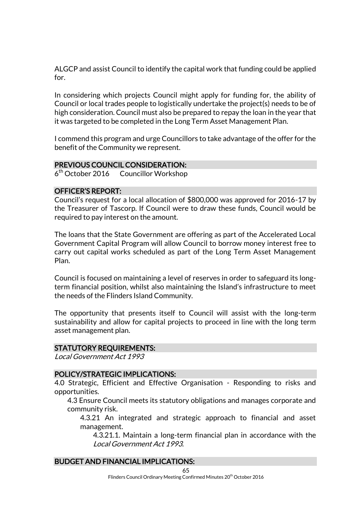ALGCP and assist Council to identify the capital work that funding could be applied for.

In considering which projects Council might apply for funding for, the ability of Council or local trades people to logistically undertake the project(s) needs to be of high consideration. Council must also be prepared to repay the loan in the year that it was targeted to be completed in the Long Term Asset Management Plan.

I commend this program and urge Councillors to take advantage of the offer for the benefit of the Community we represent.

#### PREVIOUS COUNCIL CONSIDERATION:

6<sup>th</sup> October 2016 Councillor Workshop

#### OFFICER'S REPORT:

Council's request for a local allocation of \$800,000 was approved for 2016-17 by the Treasurer of Tascorp. If Council were to draw these funds, Council would be required to pay interest on the amount.

The loans that the State Government are offering as part of the Accelerated Local Government Capital Program will allow Council to borrow money interest free to carry out capital works scheduled as part of the Long Term Asset Management Plan.

Council is focused on maintaining a level of reserves in order to safeguard its longterm financial position, whilst also maintaining the Island's infrastructure to meet the needs of the Flinders Island Community.

The opportunity that presents itself to Council will assist with the long-term sustainability and allow for capital projects to proceed in line with the long term asset management plan.

#### STATUTORY REQUIREMENTS:

Local Government Act 1993

#### POLICY/STRATEGIC IMPLICATIONS:

4.0 Strategic, Efficient and Effective Organisation - Responding to risks and opportunities.

4.3 Ensure Council meets its statutory obligations and manages corporate and community risk.

4.3.21 An integrated and strategic approach to financial and asset management.

4.3.21.1. Maintain a long-term financial plan in accordance with the Local Government Act 1993.

#### BUDGET AND FINANCIAL IMPLICATIONS: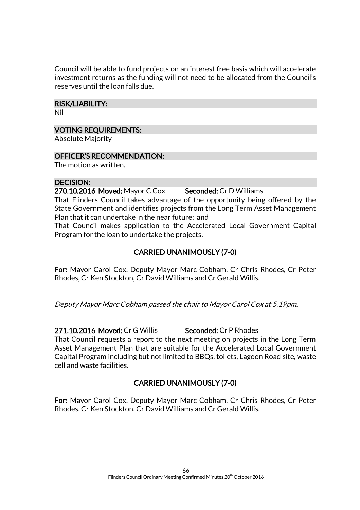Council will be able to fund projects on an interest free basis which will accelerate investment returns as the funding will not need to be allocated from the Council's reserves until the loan falls due.

#### RISK/LIABILITY:

Nil

#### VOTING REQUIREMENTS:

Absolute Majority

#### OFFICER'S RECOMMENDATION:

The motion as written.

#### DECISION:

270.10.2016 Moved: Mayor C Cox Seconded: Cr D Williams

That Flinders Council takes advantage of the opportunity being offered by the State Government and identifies projects from the Long Term Asset Management Plan that it can undertake in the near future; and

That Council makes application to the Accelerated Local Government Capital Program for the loan to undertake the projects.

# CARRIED UNANIMOUSLY (7-0)

For: Mayor Carol Cox, Deputy Mayor Marc Cobham, Cr Chris Rhodes, Cr Peter Rhodes, Cr Ken Stockton, Cr David Williams and Cr Gerald Willis.

Deputy Mayor Marc Cobham passed the chair to Mayor Carol Cox at 5.19pm.

271.10.2016 Moved: Cr G Willis Seconded: Cr P Rhodes

That Council requests a report to the next meeting on projects in the Long Term Asset Management Plan that are suitable for the Accelerated Local Government Capital Program including but not limited to BBQs, toilets, Lagoon Road site, waste cell and waste facilities.

# CARRIED UNANIMOUSLY (7-0)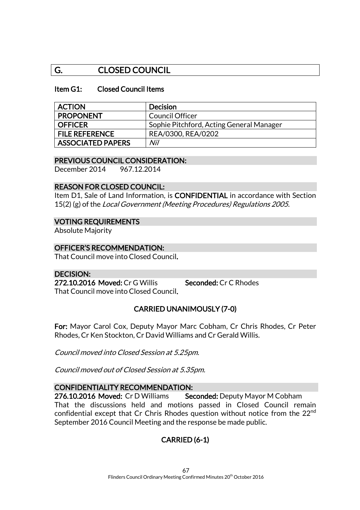# G. CLOSED COUNCIL

#### Item G1: Closed Council Items

| <b>ACTION</b>            | <b>Decision</b>                          |
|--------------------------|------------------------------------------|
| <b>PROPONENT</b>         | Council Officer                          |
| <b>OFFICER</b>           | Sophie Pitchford, Acting General Manager |
| <b>FILE REFERENCE</b>    | REA/0300, REA/0202                       |
| <b>ASSOCIATED PAPERS</b> | Nil                                      |

#### PREVIOUS COUNCIL CONSIDERATION:

December 2014 967.12.2014

#### REASON FOR CLOSED COUNCIL:

Item D1, Sale of Land Information, is **CONFIDENTIAL** in accordance with Section 15(2) (g) of the Local Government (Meeting Procedures) Regulations 2005.

#### VOTING REQUIREMENTS

Absolute Majority

#### OFFICER'S RECOMMENDATION:

That Council move into Closed Council.

#### DECISION:

272.10.2016 Moved: Cr G Willis Seconded: Cr C Rhodes That Council move into Closed Council.

#### CARRIED UNANIMOUSLY (7-0)

For: Mayor Carol Cox, Deputy Mayor Marc Cobham, Cr Chris Rhodes, Cr Peter Rhodes, Cr Ken Stockton, Cr David Williams and Cr Gerald Willis.

Council moved into Closed Session at 5.25pm.

Council moved out of Closed Session at 5.35pm.

#### CONFIDENTIALITY RECOMMENDATION:

276.10.2016 Moved: Cr D Williams Seconded: Deputy Mayor M Cobham That the discussions held and motions passed in Closed Council remain confidential except that Cr Chris Rhodes question without notice from the 22nd September 2016 Council Meeting and the response be made public.

# CARRIED (6-1)